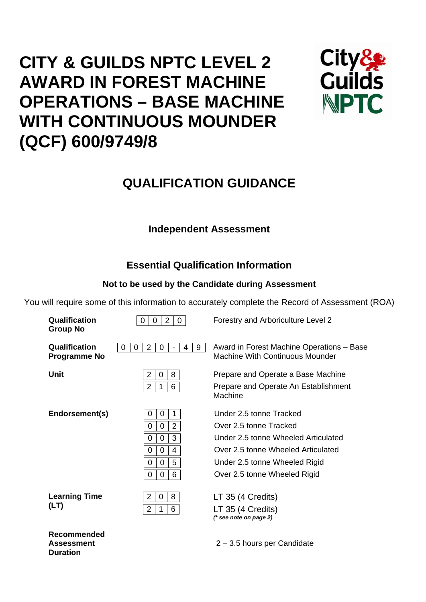# **CITY & GUILDS NPTC LEVEL 2 AWARD IN FOREST MACHINE OPERATIONS – BASE MACHINE WITH CONTINUOUS MOUNDER (QCF) 600/9749/8**



## **QUALIFICATION GUIDANCE**

## **Independent Assessment**

## **Essential Qualification Information**

## **Not to be used by the Candidate during Assessment**

You will require some of this information to accurately complete the Record of Assessment (ROA)

| Qualification<br><b>Group No</b>        | $\overline{2}$<br>0<br>$\mathbf{0}$<br>0                                                       | Forestry and Arboriculture Level 2                                                                                                                                                              |
|-----------------------------------------|------------------------------------------------------------------------------------------------|-------------------------------------------------------------------------------------------------------------------------------------------------------------------------------------------------|
| Qualification<br><b>Programme No</b>    | $\overline{2}$<br>9<br>0<br>0<br>4<br>0                                                        | Award in Forest Machine Operations - Base<br>Machine With Continuous Mounder                                                                                                                    |
| Unit                                    | 2<br>8<br>0<br>$\overline{2}$<br>6<br>1                                                        | Prepare and Operate a Base Machine<br>Prepare and Operate An Establishment<br>Machine                                                                                                           |
| Endorsement(s)                          | 0<br>0<br>$\overline{2}$<br>0<br>0<br>3<br>0<br>0<br>4<br>0<br>0<br>5<br>0<br>0<br>6<br>0<br>0 | Under 2.5 tonne Tracked<br>Over 2.5 tonne Tracked<br>Under 2.5 tonne Wheeled Articulated<br>Over 2.5 tonne Wheeled Articulated<br>Under 2.5 tonne Wheeled Rigid<br>Over 2.5 tonne Wheeled Rigid |
| <b>Learning Time</b><br>(LT)            | $\overline{2}$<br>0<br>8<br>$\overline{2}$<br>6<br>1                                           | LT 35 (4 Credits)<br>LT 35 (4 Credits)<br>$(*$ see note on page 2)                                                                                                                              |
| <b>Recommended</b><br><b>Assessment</b> |                                                                                                | 2 – 3.5 hours per Candidate                                                                                                                                                                     |

**Duration**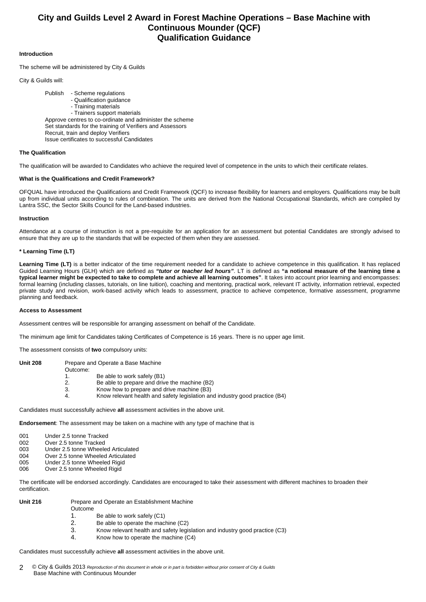### **City and Guilds Level 2 Award in Forest Machine Operations – Base Machine with Continuous Mounder (QCF) Qualification Guidance**

#### **Introduction**

The scheme will be administered by City & Guilds

City & Guilds will:

 Publish - Scheme regulations - Qualification guidance - Training materials - Trainers support materials Approve centres to co-ordinate and administer the scheme Set standards for the training of Verifiers and Assessors Recruit, train and deploy Verifiers Issue certificates to successful Candidates

#### **The Qualification**

The qualification will be awarded to Candidates who achieve the required level of competence in the units to which their certificate relates.

#### **What is the Qualifications and Credit Framework?**

OFQUAL have introduced the Qualifications and Credit Framework (QCF) to increase flexibility for learners and employers. Qualifications may be built up from individual units according to rules of combination. The units are derived from the National Occupational Standards, which are compiled by Lantra SSC, the Sector Skills Council for the Land-based industries.

#### **Instruction**

Attendance at a course of instruction is not a pre-requisite for an application for an assessment but potential Candidates are strongly advised to ensure that they are up to the standards that will be expected of them when they are assessed.

#### **\* Learning Time (LT)**

Learning Time (LT) is a better indicator of the time requirement needed for a candidate to achieve competence in this qualification. It has replaced Guided Learning Hours (GLH) which are defined as *"tutor or teacher led hours"*. LT is defined as **"a notional measure of the learning time a typical learner might be expected to take to complete and achieve all learning outcomes"**. It takes into account prior learning and encompasses: formal learning (including classes, tutorials, on line tuition), coaching and mentoring, practical work, relevant IT activity, information retrieval, expected private study and revision, work-based activity which leads to assessment, practice to achieve competence, formative assessment, programme planning and feedback.

#### **Access to Assessment**

Assessment centres will be responsible for arranging assessment on behalf of the Candidate.

The minimum age limit for Candidates taking Certificates of Competence is 16 years. There is no upper age limit.

The assessment consists of **two** compulsory units:

| <b>Unit 208</b> |          | Prepare and Operate a Base Machine                                                |
|-----------------|----------|-----------------------------------------------------------------------------------|
|                 | Outcome: |                                                                                   |
|                 | 1.       | Be able to work safely (B1)                                                       |
|                 | 2.       | Be able to prepare and drive the machine (B2)                                     |
|                 | 3.       | Know how to prepare and drive machine (B3)                                        |
|                 | -4.      | Know relevant health and safety legislation and industry good practice (B4)       |
|                 |          |                                                                                   |
|                 |          | Candidates must successfully achieve all assessment activities in the above unit. |

**Endorsement**: The assessment may be taken on a machine with any type of machine that is

- 001 Under 2.5 tonne Tracked
- 002 Over 2.5 tonne Tracked<br>003 Under 2.5 tonne Wheele
- 003 Under 2.5 tonne Wheeled Articulated<br>004 Over 2.5 tonne Wheeled Articulated
- Over 2.5 tonne Wheeled Articulated
- 005 Under 2.5 tonne Wheeled Rigid 006 Over 2.5 tonne Wheeled Rigid

The certificate will be endorsed accordingly. Candidates are encouraged to take their assessment with different machines to broaden their certification.

| Unit 216 |  |
|----------|--|
|----------|--|

- Prepare and Operate an Establishment Machine
- Outcome
	- 1. Be able to work safely (C1)
- 2. Be able to operate the machine (C2)
- 3. Know relevant health and safety legislation and industry good practice (C3)
- 4. Know how to operate the machine (C4)

Candidates must successfully achieve **all** assessment activities in the above unit.

© City & Guilds 2013 *Reproduction of this document in whole or in part is forbidden without prior consent of City & Guilds*  Base Machine with Continuous Mounder 2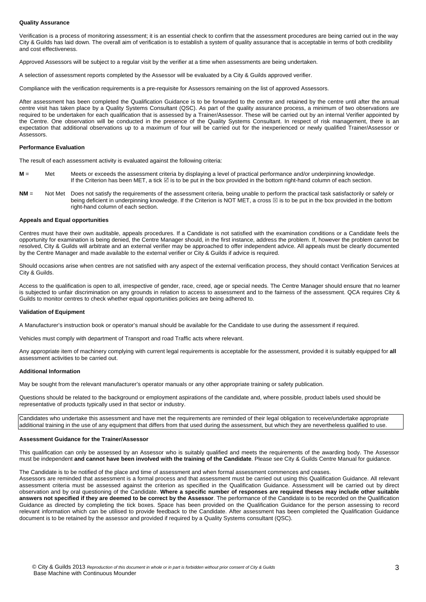#### **Quality Assurance**

Verification is a process of monitoring assessment; it is an essential check to confirm that the assessment procedures are being carried out in the way City & Guilds has laid down. The overall aim of verification is to establish a system of quality assurance that is acceptable in terms of both credibility and cost effectiveness.

Approved Assessors will be subject to a regular visit by the verifier at a time when assessments are being undertaken.

A selection of assessment reports completed by the Assessor will be evaluated by a City & Guilds approved verifier.

Compliance with the verification requirements is a pre-requisite for Assessors remaining on the list of approved Assessors.

After assessment has been completed the Qualification Guidance is to be forwarded to the centre and retained by the centre until after the annual centre visit has taken place by a Quality Systems Consultant (QSC). As part of the quality assurance process, a minimum of two observations are required to be undertaken for each qualification that is assessed by a Trainer/Assessor. These will be carried out by an internal Verifier appointed by the Centre. One observation will be conducted in the presence of the Quality Systems Consultant. In respect of risk management, there is an expectation that additional observations up to a maximum of four will be carried out for the inexperienced or newly qualified Trainer/Assessor or Assessors.

#### **Performance Evaluation**

The result of each assessment activity is evaluated against the following criteria:

- **M** = Met Meets or exceeds the assessment criteria by displaying a level of practical performance and/or underpinning knowledge. If the Criterion has been MET, a tick ⊠ is to be put in the box provided in the bottom right-hand column of each section.
- **NM** = Not Met Does not satisfy the requirements of the assessment criteria, being unable to perform the practical task satisfactorily or safely or being deficient in underpinning knowledge. If the Criterion is NOT MET, a cross  $\boxtimes$  is to be put in the box provided in the bottom right-hand column of each section.

#### **Appeals and Equal opportunities**

Centres must have their own auditable, appeals procedures. If a Candidate is not satisfied with the examination conditions or a Candidate feels the opportunity for examination is being denied, the Centre Manager should, in the first instance, address the problem. If, however the problem cannot be resolved, City & Guilds will arbitrate and an external verifier may be approached to offer independent advice. All appeals must be clearly documented by the Centre Manager and made available to the external verifier or City & Guilds if advice is required.

Should occasions arise when centres are not satisfied with any aspect of the external verification process, they should contact Verification Services at City & Guilds.

Access to the qualification is open to all, irrespective of gender, race, creed, age or special needs. The Centre Manager should ensure that no learner is subjected to unfair discrimination on any grounds in relation to access to assessment and to the fairness of the assessment. QCA requires City & Guilds to monitor centres to check whether equal opportunities policies are being adhered to.

#### **Validation of Equipment**

A Manufacturer's instruction book or operator's manual should be available for the Candidate to use during the assessment if required.

Vehicles must comply with department of Transport and road Traffic acts where relevant.

Any appropriate item of machinery complying with current legal requirements is acceptable for the assessment, provided it is suitably equipped for **all** assessment activities to be carried out.

#### **Additional Information**

May be sought from the relevant manufacturer's operator manuals or any other appropriate training or safety publication.

Questions should be related to the background or employment aspirations of the candidate and, where possible, product labels used should be representative of products typically used in that sector or industry.

Candidates who undertake this assessment and have met the requirements are reminded of their legal obligation to receive/undertake appropriate additional training in the use of any equipment that differs from that used during the assessment, but which they are nevertheless qualified to use

#### **Assessment Guidance for the Trainer/Assessor**

This qualification can only be assessed by an Assessor who is suitably qualified and meets the requirements of the awarding body. The Assessor must be independent **and cannot have been involved with the training of the Candidate**. Please see City & Guilds Centre Manual for guidance.

The Candidate is to be notified of the place and time of assessment and when formal assessment commences and ceases.

Assessors are reminded that assessment is a formal process and that assessment must be carried out using this Qualification Guidance. All relevant assessment criteria must be assessed against the criterion as specified in the Qualification Guidance. Assessment will be carried out by direct observation and by oral questioning of the Candidate. **Where a specific number of responses are required theses may include other suitable answers not specified if they are deemed to be correct by the Assessor**. The performance of the Candidate is to be recorded on the Qualification Guidance as directed by completing the tick boxes. Space has been provided on the Qualification Guidance for the person assessing to record relevant information which can be utilised to provide feedback to the Candidate. After assessment has been completed the Qualification Guidance document is to be retained by the assessor and provided if required by a Quality Systems consultant (QSC).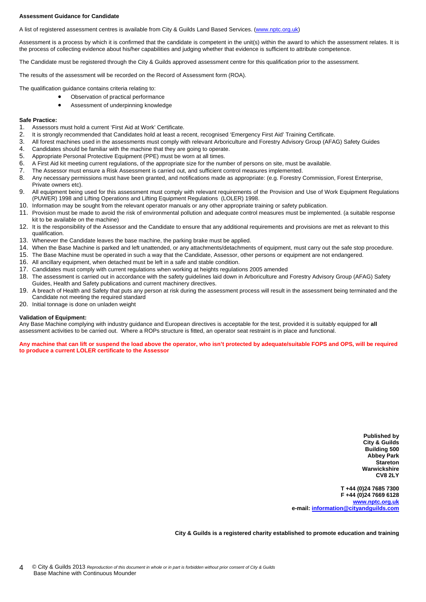#### **Assessment Guidance for Candidate**

A list of registered assessment centres is available from City & Guilds Land Based Services. (www.nptc.org.uk)

Assessment is a process by which it is confirmed that the candidate is competent in the unit(s) within the award to which the assessment relates. It is the process of collecting evidence about his/her capabilities and judging whether that evidence is sufficient to attribute competence.

The Candidate must be registered through the City & Guilds approved assessment centre for this qualification prior to the assessment.

The results of the assessment will be recorded on the Record of Assessment form (ROA).

The qualification guidance contains criteria relating to:

- Observation of practical performance
	- Assessment of underpinning knowledge

#### **Safe Practice:**

- 1. Assessors must hold a current 'First Aid at Work' Certificate.
- 2. It is strongly recommended that Candidates hold at least a recent, recognised 'Emergency First Aid' Training Certificate.
- 3. All forest machines used in the assessments must comply with relevant Arboriculture and Forestry Advisory Group (AFAG) Safety Guides
- 4. Candidates should be familiar with the machine that they are going to operate.
- 5. Appropriate Personal Protective Equipment (PPE) must be worn at all times.
- 6. A First Aid kit meeting current regulations, of the appropriate size for the number of persons on site, must be available.
- 7. The Assessor must ensure a Risk Assessment is carried out, and sufficient control measures implemented.
- 8. Any necessary permissions must have been granted, and notifications made as appropriate: (e.g. Forestry Commission, Forest Enterprise, Private owners etc).
- 9. All equipment being used for this assessment must comply with relevant requirements of the Provision and Use of Work Equipment Regulations (PUWER) 1998 and Lifting Operations and Lifting Equipment Regulations (LOLER) 1998.
- 10. Information may be sought from the relevant operator manuals or any other appropriate training or safety publication.
- 11. Provision must be made to avoid the risk of environmental pollution and adequate control measures must be implemented. (a suitable response kit to be available on the machine)
- 12. It is the responsibility of the Assessor and the Candidate to ensure that any additional requirements and provisions are met as relevant to this qualification.
- 13. Whenever the Candidate leaves the base machine, the parking brake must be applied.
- 14. When the Base Machine is parked and left unattended, or any attachments/detachments of equipment, must carry out the safe stop procedure.
- 15. The Base Machine must be operated in such a way that the Candidate, Assessor, other persons or equipment are not endangered.
- 16. All ancillary equipment, when detached must be left in a safe and stable condition.
- 17. Candidates must comply with current regulations when working at heights regulations 2005 amended
- 18. The assessment is carried out in accordance with the safety guidelines laid down in Arboriculture and Forestry Advisory Group (AFAG) Safety Guides, Health and Safety publications and current machinery directives.
- 19. A breach of Health and Safety that puts any person at risk during the assessment process will result in the assessment being terminated and the Candidate not meeting the required standard
- 20. Initial tonnage is done on unladen weight

#### **Validation of Equipment:**

Any Base Machine complying with industry guidance and European directives is acceptable for the test, provided it is suitably equipped for **all** assessment activities to be carried out. Where a ROPs structure is fitted, an operator seat restraint is in place and functional.

**Any machine that can lift or suspend the load above the operator, who isn't protected by adequate/suitable FOPS and OPS, will be required to produce a current LOLER certificate to the Assessor** 

> **Published by City & Guilds Building 500 Abbey Park Stareton Warwickshire CV8 2LY**

**T +44 (0)24 7685 7300 F +44 (0)24 7669 6128 www.nptc.org.uk e-mail: information@cityandguilds.com**

**City & Guilds is a registered charity established to promote education and training**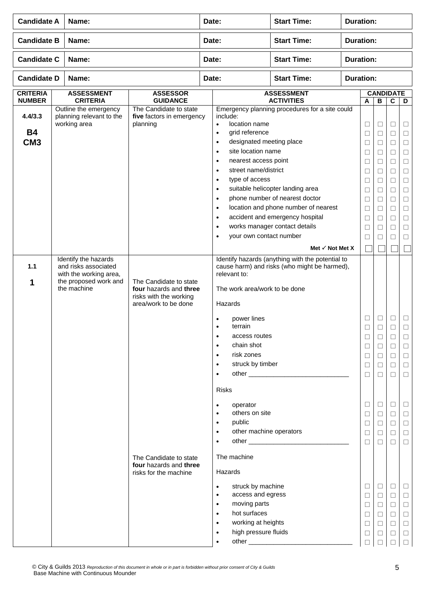| <b>Candidate A</b>                      | Name:                                                                                                          |                                                                                                    | Date: |                                                                                                                                                                                                                                                                                                                                                             | <b>Start Time:</b>                                                                                                                                                                                                                                             | <b>Duration:</b> |                                                                                                                      |                                                                                                                           |                                                                                                                      |                                                                                                                           |  |
|-----------------------------------------|----------------------------------------------------------------------------------------------------------------|----------------------------------------------------------------------------------------------------|-------|-------------------------------------------------------------------------------------------------------------------------------------------------------------------------------------------------------------------------------------------------------------------------------------------------------------------------------------------------------------|----------------------------------------------------------------------------------------------------------------------------------------------------------------------------------------------------------------------------------------------------------------|------------------|----------------------------------------------------------------------------------------------------------------------|---------------------------------------------------------------------------------------------------------------------------|----------------------------------------------------------------------------------------------------------------------|---------------------------------------------------------------------------------------------------------------------------|--|
| <b>Candidate B</b>                      | Name:                                                                                                          |                                                                                                    | Date: |                                                                                                                                                                                                                                                                                                                                                             | <b>Start Time:</b>                                                                                                                                                                                                                                             |                  | <b>Duration:</b>                                                                                                     |                                                                                                                           |                                                                                                                      |                                                                                                                           |  |
| <b>Candidate C</b>                      | Name:                                                                                                          |                                                                                                    | Date: |                                                                                                                                                                                                                                                                                                                                                             | <b>Start Time:</b>                                                                                                                                                                                                                                             | <b>Duration:</b> |                                                                                                                      |                                                                                                                           |                                                                                                                      |                                                                                                                           |  |
| <b>Candidate D</b>                      | Name:                                                                                                          |                                                                                                    |       | Date:                                                                                                                                                                                                                                                                                                                                                       | <b>Start Time:</b>                                                                                                                                                                                                                                             |                  | <b>Duration:</b>                                                                                                     |                                                                                                                           |                                                                                                                      |                                                                                                                           |  |
| <b>CRITERIA</b><br><b>NUMBER</b>        | <b>ASSESSMENT</b><br><b>CRITERIA</b>                                                                           | <b>ASSESSOR</b><br><b>GUIDANCE</b>                                                                 |       |                                                                                                                                                                                                                                                                                                                                                             | <b>ASSESSMENT</b><br><b>ACTIVITIES</b>                                                                                                                                                                                                                         |                  | $\boldsymbol{\mathsf{A}}$                                                                                            | $\overline{\mathbf{B}}$                                                                                                   | <b>CANDIDATE</b><br>$\mathbf c$                                                                                      | D                                                                                                                         |  |
| 4.4/3.3<br><b>B4</b><br>CM <sub>3</sub> | Outline the emergency<br>planning relevant to the<br>working area                                              | The Candidate to state<br>five factors in emergency<br>planning                                    |       | include:<br>location name<br>$\bullet$<br>grid reference<br>$\bullet$<br>designated meeting place<br>$\bullet$<br>site location name<br>$\bullet$<br>nearest access point<br>٠<br>street name/district<br>$\bullet$<br>type of access<br>$\bullet$<br>$\bullet$<br>$\bullet$<br>$\bullet$<br>$\bullet$<br>$\bullet$<br>your own contact number<br>$\bullet$ | Emergency planning procedures for a site could<br>suitable helicopter landing area<br>phone number of nearest doctor<br>location and phone number of nearest<br>accident and emergency hospital<br>works manager contact details<br>Met $\checkmark$ Not Met X |                  | $\Box$<br>$\Box$<br>$\Box$<br>$\Box$<br>$\Box$<br>$\Box$<br>□<br>$\Box$<br>$\Box$<br>$\Box$<br>$\Box$<br>□<br>$\Box$ | $\Box$<br>$\Box$<br>$\Box$<br>$\Box$<br>$\Box$<br>$\Box$<br>□<br>$\Box$<br>$\Box$<br>$\Box$<br>$\Box$<br>$\Box$<br>$\Box$ | $\Box$<br>$\Box$<br>$\Box$<br>$\Box$<br>$\Box$<br>$\Box$<br>$\Box$<br>$\Box$<br>□<br>$\Box$<br>$\Box$<br>□<br>$\Box$ | □<br>$\Box$<br>$\Box$<br>$\Box$<br>$\Box$<br>$\Box$<br>$\Box$<br>$\Box$<br>$\Box$<br>$\Box$<br>$\Box$<br>$\Box$<br>$\Box$ |  |
| $1.1$<br>1                              | Identify the hazards<br>and risks associated<br>with the working area,<br>the proposed work and<br>the machine | The Candidate to state<br>four hazards and three<br>risks with the working<br>area/work to be done |       | relevant to:<br>The work area/work to be done<br>Hazards                                                                                                                                                                                                                                                                                                    | Identify hazards (anything with the potential to<br>cause harm) and risks (who might be harmed),                                                                                                                                                               |                  |                                                                                                                      |                                                                                                                           |                                                                                                                      |                                                                                                                           |  |
|                                         |                                                                                                                |                                                                                                    |       | power lines<br>terrain<br>$\bullet$<br>access routes<br>٠<br>chain shot<br>$\bullet$<br>risk zones<br>$\bullet$<br>struck by timber<br>$\bullet$<br>$\bullet$                                                                                                                                                                                               |                                                                                                                                                                                                                                                                |                  | □<br>□<br>⊔<br>$\Box$<br>$\Box$<br>$\Box$<br>$\Box$                                                                  | Ц<br>П<br>$\Box$<br>$\Box$<br>$\Box$<br>$\Box$<br>$\Box$                                                                  | Ш<br>□<br>$\Box$<br>$\Box$<br>$\Box$<br>$\Box$                                                                       | Ц<br>П<br>⊔<br>$\Box$<br>$\Box$<br>$\Box$<br>$\Box$                                                                       |  |
|                                         |                                                                                                                |                                                                                                    |       | <b>Risks</b><br>operator<br>٠<br>others on site<br>$\bullet$<br>public<br>$\bullet$<br>other machine operators<br>$\bullet$<br>$\bullet$<br>The machine                                                                                                                                                                                                     |                                                                                                                                                                                                                                                                |                  | $\Box$<br>□<br>$\Box$<br>$\Box$<br>П                                                                                 | $\Box$<br>$\Box$<br>$\Box$<br>$\Box$<br>$\Box$                                                                            | $\Box$<br>$\Box$<br>$\Box$<br>$\Box$<br>$\Box$                                                                       | ⊔<br>$\Box$<br>$\Box$<br>$\Box$<br>$\Box$                                                                                 |  |
|                                         |                                                                                                                | The Candidate to state<br>four hazards and three<br>risks for the machine                          |       | Hazards<br>struck by machine<br>$\bullet$<br>access and egress<br>$\bullet$<br>moving parts<br>$\bullet$<br>hot surfaces<br>$\bullet$<br>working at heights<br>$\bullet$<br>high pressure fluids<br>$\bullet$<br>$\bullet$                                                                                                                                  |                                                                                                                                                                                                                                                                |                  | $\Box$<br>$\Box$<br>$\Box$<br>$\Box$<br>$\Box$<br>$\Box$<br>□                                                        | $\Box$<br>$\Box$<br>$\Box$<br>$\Box$<br>$\Box$<br>$\Box$<br>П                                                             | $\Box$<br>$\Box$<br>$\Box$<br>$\Box$<br>$\Box$<br>$\Box$<br>П                                                        | Ц<br>$\Box$<br>$\Box$<br>$\Box$<br>$\Box$<br>$\Box$<br>$\Box$                                                             |  |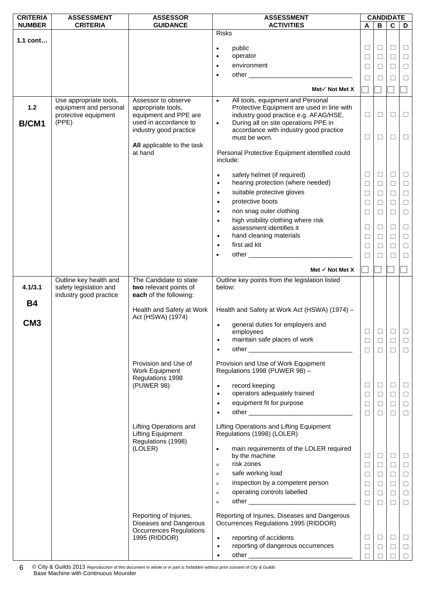| <b>CRITERIA</b> | <b>ASSESSMENT</b>                                | <b>ASSESSOR</b>                                  | <b>ASSESSMENT</b>                                    |        | <b>CANDIDATE</b> |                |        |
|-----------------|--------------------------------------------------|--------------------------------------------------|------------------------------------------------------|--------|------------------|----------------|--------|
| <b>NUMBER</b>   | <b>CRITERIA</b>                                  | <b>GUIDANCE</b>                                  | <b>ACTIVITIES</b>                                    | A      | в                | $\overline{c}$ | D      |
| 1.1 cont        |                                                  |                                                  | <b>Risks</b>                                         |        |                  |                |        |
|                 |                                                  |                                                  | public<br>$\bullet$                                  | □      | $\Box$           | $\Box$         | $\Box$ |
|                 |                                                  |                                                  | operator<br>٠                                        | $\Box$ | □                | $\Box$         | $\Box$ |
|                 |                                                  |                                                  | environment<br>$\bullet$                             | $\Box$ | $\Box$           | $\Box$         | $\Box$ |
|                 |                                                  |                                                  | other<br>$\bullet$                                   |        |                  |                |        |
|                 |                                                  |                                                  |                                                      | □      | $\Box$           | $\Box$         | $\Box$ |
|                 |                                                  |                                                  | Met√ Not Met X                                       |        |                  |                |        |
|                 | Use appropriate tools,                           | Assessor to observe                              | All tools, equipment and Personal<br>$\bullet$       |        |                  |                |        |
| $1.2$           | equipment and personal                           | appropriate tools,                               | Protective Equipment are used in line with           |        |                  |                |        |
|                 | protective equipment                             | equipment and PPE are                            | industry good practice e.g. AFAG/HSE.                | □      | □                | $\Box$         | $\Box$ |
| B/CM1           | (PPE)                                            | used in accordance to                            | During all on site operations PPE in<br>$\bullet$    |        |                  |                |        |
|                 |                                                  | industry good practice                           | accordance with industry good practice               | □      | $\Box$           | □              | $\Box$ |
|                 |                                                  | All applicable to the task                       | must be worn.                                        |        |                  |                |        |
|                 |                                                  | at hand                                          | Personal Protective Equipment identified could       |        |                  |                |        |
|                 |                                                  |                                                  | include:                                             |        |                  |                |        |
|                 |                                                  |                                                  |                                                      |        |                  |                |        |
|                 |                                                  |                                                  | safety helmet (if required)<br>$\bullet$             | Ц      | $\Box$           | ⊔              | $\Box$ |
|                 |                                                  |                                                  | hearing protection (where needed)<br>$\bullet$       | $\Box$ | $\Box$           | $\Box$         | $\Box$ |
|                 |                                                  |                                                  | suitable protective gloves<br>$\bullet$              | $\Box$ | $\Box$           | $\Box$         | $\Box$ |
|                 |                                                  |                                                  | protective boots<br>$\bullet$                        | $\Box$ | □                | $\Box$         | $\Box$ |
|                 |                                                  |                                                  | non snag outer clothing<br>$\bullet$                 | $\Box$ | $\Box$           | $\Box$         | $\Box$ |
|                 |                                                  |                                                  | high visibility clothing where risk<br>$\bullet$     |        |                  |                |        |
|                 |                                                  |                                                  | assessment identifies it                             | $\Box$ | $\Box$           | $\Box$         | $\Box$ |
|                 |                                                  |                                                  | hand cleaning materials<br>$\bullet$                 | $\Box$ | □                | □              | $\Box$ |
|                 |                                                  |                                                  | first aid kit<br>$\bullet$                           | $\Box$ | $\Box$           | $\Box$         | $\Box$ |
|                 |                                                  |                                                  | $\bullet$                                            | $\Box$ | □                | $\Box$         | $\Box$ |
|                 |                                                  |                                                  |                                                      |        |                  |                |        |
|                 |                                                  |                                                  | Met $\checkmark$ Not Met X                           |        |                  |                |        |
|                 | Outline key health and                           | The Candidate to state                           | Outline key points from the legislation listed       |        |                  |                |        |
| 4.1/3.1         | safety legislation and<br>industry good practice | two relevant points of<br>each of the following: | below:                                               |        |                  |                |        |
| <b>B4</b>       |                                                  |                                                  |                                                      |        |                  |                |        |
|                 |                                                  | Health and Safety at Work                        | Health and Safety at Work Act (HSWA) (1974) -        |        |                  |                |        |
|                 |                                                  | Act (HSWA) (1974)                                |                                                      |        |                  |                |        |
| CM <sub>3</sub> |                                                  |                                                  | general duties for employers and<br>$\bullet$        |        |                  |                |        |
|                 |                                                  |                                                  | employees                                            | □      | □                | □              | $\Box$ |
|                 |                                                  |                                                  | maintain safe places of work                         | $\Box$ | $\Box$           | $\Box$         | $\Box$ |
|                 |                                                  |                                                  | $\bullet$                                            | $\Box$ | $\Box$           | $\Box$         | $\Box$ |
|                 |                                                  | Provision and Use of                             | Provision and Use of Work Equipment                  |        |                  |                |        |
|                 |                                                  | Work Equipment                                   | Regulations 1998 (PUWER 98) -                        |        |                  |                |        |
|                 |                                                  | Regulations 1998                                 |                                                      |        |                  |                |        |
|                 |                                                  | (PUWER 98)                                       | record keeping                                       | ⊔      | $\Box$           | Ц              | $\Box$ |
|                 |                                                  |                                                  | operators adequately trained<br>$\bullet$            | $\Box$ | $\Box$           | $\Box$         | $\Box$ |
|                 |                                                  |                                                  | equipment fit for purpose<br>$\bullet$               | □      | $\Box$           | □              | $\Box$ |
|                 |                                                  |                                                  |                                                      | $\Box$ | $\Box$           | П              | $\Box$ |
|                 |                                                  | <b>Lifting Operations and</b>                    | Lifting Operations and Lifting Equipment             |        |                  |                |        |
|                 |                                                  | <b>Lifting Equipment</b>                         | Regulations (1998) (LOLER)                           |        |                  |                |        |
|                 |                                                  | Regulations (1998)                               |                                                      |        |                  |                |        |
|                 |                                                  | (LOLER)                                          | main requirements of the LOLER required<br>$\bullet$ |        |                  |                |        |
|                 |                                                  |                                                  | by the machine<br>risk zones                         | Ц      | $\Box$           | $\Box$         | $\Box$ |
|                 |                                                  |                                                  | $\circ$                                              | $\Box$ | $\Box$           | $\Box$         | $\Box$ |
|                 |                                                  |                                                  | safe working load<br>$\circ$                         | □      | $\Box$           | $\Box$         | $\Box$ |
|                 |                                                  |                                                  | inspection by a competent person<br>$\circ$          | □      | $\Box$           | $\Box$         | $\Box$ |
|                 |                                                  |                                                  | operating controls labelled<br>$\circ$               | $\Box$ | $\Box$           | $\Box$         | $\Box$ |
|                 |                                                  |                                                  | $\circ$                                              | $\Box$ | $\Box$           | П              | $\Box$ |
|                 |                                                  | Reporting of Injuries,                           | Reporting of Injuries, Diseases and Dangerous        |        |                  |                |        |
|                 |                                                  | Diseases and Dangerous                           | Occurrences Regulations 1995 (RIDDOR)                |        |                  |                |        |
|                 |                                                  | <b>Occurrences Regulations</b>                   |                                                      |        |                  |                |        |
|                 |                                                  | 1995 (RIDDOR)                                    | reporting of accidents<br>$\bullet$                  | $\Box$ | $\Box$           | $\Box$         | $\Box$ |
|                 |                                                  |                                                  | reporting of dangerous occurrences<br>$\bullet$      | □      | $\Box$           | $\Box$         | $\Box$ |
|                 |                                                  |                                                  | $\bullet$                                            | П      |                  | П              | $\Box$ |

© City & Guilds 2013 *Reproduction of this document in whole or in part is forbidden without prior consent of City & Guilds*  Base Machine with Continuous Mounder 6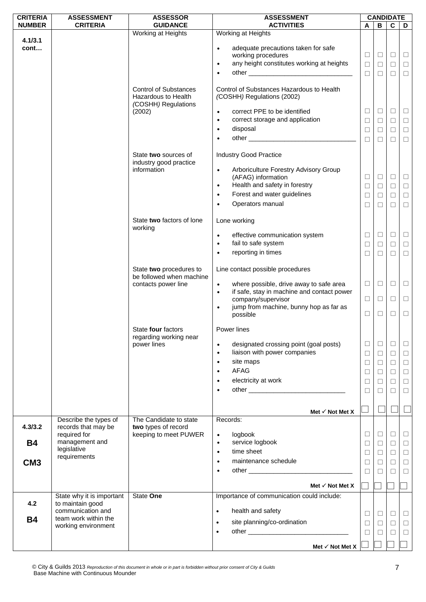| <b>CRITERIA</b> | <b>ASSESSMENT</b>                            | <b>ASSESSOR</b>                                                            | <b>ASSESSMENT</b>                                                                                                                |                  |                  | <b>CANDIDATE</b> |                  |
|-----------------|----------------------------------------------|----------------------------------------------------------------------------|----------------------------------------------------------------------------------------------------------------------------------|------------------|------------------|------------------|------------------|
| <b>NUMBER</b>   | <b>CRITERIA</b>                              | <b>GUIDANCE</b>                                                            | <b>ACTIVITIES</b>                                                                                                                | A                | В                | $\overline{c}$   | D                |
|                 |                                              | Working at Heights                                                         | Working at Heights                                                                                                               |                  |                  |                  |                  |
| 4.1/3.1<br>cont |                                              |                                                                            | adequate precautions taken for safe<br>$\bullet$<br>working procedures<br>any height constitutes working at heights<br>$\bullet$ | $\Box$<br>$\Box$ | $\Box$<br>$\Box$ | $\Box$<br>$\Box$ | $\Box$<br>$\Box$ |
|                 |                                              |                                                                            | $\bullet$                                                                                                                        | $\Box$           | $\Box$           | $\Box$           | $\Box$           |
|                 |                                              | <b>Control of Substances</b><br>Hazardous to Health<br>(COSHH) Regulations | Control of Substances Hazardous to Health<br>(COSHH) Regulations (2002)                                                          |                  |                  |                  |                  |
|                 |                                              | (2002)                                                                     | correct PPE to be identified<br>$\bullet$<br>correct storage and application<br>$\bullet$                                        | ⊔<br>$\Box$      | $\Box$<br>$\Box$ | $\Box$<br>$\Box$ | $\Box$<br>$\Box$ |
|                 |                                              |                                                                            | disposal<br>$\bullet$                                                                                                            | $\Box$           | $\Box$           | $\Box$           | $\Box$           |
|                 |                                              |                                                                            | $\bullet$                                                                                                                        | $\Box$           | $\Box$           | $\Box$           | $\Box$           |
|                 |                                              | State two sources of<br>industry good practice                             | <b>Industry Good Practice</b>                                                                                                    |                  |                  |                  |                  |
|                 |                                              | information                                                                | Arboriculture Forestry Advisory Group<br>$\bullet$<br>(AFAG) information                                                         | $\Box$           | $\Box$           | $\Box$           | $\Box$           |
|                 |                                              |                                                                            | Health and safety in forestry<br>$\bullet$                                                                                       | $\Box$           | $\Box$           | $\Box$           | $\Box$           |
|                 |                                              |                                                                            | Forest and water guidelines<br>$\bullet$                                                                                         | $\Box$           | $\Box$           | $\Box$           | $\Box$           |
|                 |                                              |                                                                            | Operators manual                                                                                                                 | □                | $\Box$           | $\Box$           | $\Box$           |
|                 |                                              | State two factors of lone<br>working                                       | Lone working                                                                                                                     |                  |                  |                  |                  |
|                 |                                              |                                                                            | effective communication system<br>$\bullet$<br>fail to safe system<br>$\bullet$                                                  | $\Box$<br>$\Box$ | $\Box$<br>$\Box$ | $\Box$<br>$\Box$ | $\Box$<br>$\Box$ |
|                 |                                              |                                                                            | reporting in times<br>$\bullet$                                                                                                  | $\Box$           | $\Box$           | $\Box$           | $\Box$           |
|                 |                                              | State two procedures to<br>be followed when machine                        | Line contact possible procedures                                                                                                 |                  |                  |                  |                  |
|                 |                                              | contacts power line                                                        | where possible, drive away to safe area<br>$\bullet$<br>if safe, stay in machine and contact power<br>$\bullet$                  | $\Box$           | $\Box$           | $\Box$           | $\Box$           |
|                 |                                              |                                                                            | company/supervisor                                                                                                               | $\Box$           | $\Box$           | $\Box$           | $\Box$           |
|                 |                                              |                                                                            | jump from machine, bunny hop as far as<br>possible                                                                               | $\Box$           | $\Box$           | $\Box$           | $\Box$           |
|                 |                                              | State four factors<br>regarding working near                               | Power lines                                                                                                                      |                  |                  |                  |                  |
|                 |                                              | power lines                                                                | designated crossing point (goal posts)<br>$\bullet$<br>liaison with power companies<br>$\bullet$                                 | $\Box$           | $\Box$           | $\Box$           | $\Box$           |
|                 |                                              |                                                                            | site maps<br>$\bullet$                                                                                                           | $\Box$<br>$\Box$ | $\Box$           | $\Box$<br>$\Box$ | $\Box$           |
|                 |                                              |                                                                            | AFAG<br>$\bullet$                                                                                                                | □                | $\Box$<br>$\Box$ | $\Box$           | $\Box$<br>$\Box$ |
|                 |                                              |                                                                            | electricity at work                                                                                                              | $\Box$           | $\Box$           | $\Box$           | $\Box$           |
|                 |                                              |                                                                            | $\bullet$                                                                                                                        | $\Box$           | □                | $\Box$           | $\Box$           |
|                 |                                              |                                                                            | Met $\checkmark$ Not Met X                                                                                                       |                  |                  |                  |                  |
| 4.3/3.2         | Describe the types of<br>records that may be | The Candidate to state<br>two types of record                              | Records:                                                                                                                         |                  |                  |                  |                  |
| <b>B4</b>       | required for<br>management and               | keeping to meet PUWER                                                      | logbook<br>$\bullet$<br>service logbook<br>$\bullet$                                                                             | $\Box$           | $\Box$           | $\Box$           | $\Box$           |
|                 | legislative                                  |                                                                            | time sheet<br>$\bullet$                                                                                                          | □<br>$\Box$      | $\Box$<br>$\Box$ | $\Box$<br>$\Box$ | $\Box$<br>$\Box$ |
| CM <sub>3</sub> | requirements                                 |                                                                            | maintenance schedule<br>$\bullet$                                                                                                | □                | $\Box$           | $\Box$           | $\Box$           |
|                 |                                              |                                                                            | $\bullet$                                                                                                                        | $\Box$           | $\Box$           | $\Box$           | $\Box$           |
|                 |                                              |                                                                            | Met $\checkmark$ Not Met X                                                                                                       |                  |                  |                  |                  |
|                 | State why it is important                    | State One                                                                  | Importance of communication could include:                                                                                       |                  |                  |                  |                  |
| 4.2             | to maintain good<br>communication and        |                                                                            | health and safety<br>$\bullet$                                                                                                   |                  |                  |                  |                  |
| <b>B4</b>       | team work within the                         |                                                                            | site planning/co-ordination<br>$\bullet$                                                                                         | $\Box$<br>$\Box$ | $\Box$           | $\Box$<br>$\Box$ | $\Box$           |
|                 | working environment                          |                                                                            | $\bullet$                                                                                                                        | $\Box$           | $\Box$<br>$\Box$ | $\Box$           | $\Box$<br>$\Box$ |
|                 |                                              |                                                                            |                                                                                                                                  |                  |                  |                  |                  |
|                 |                                              |                                                                            | Met $\checkmark$ Not Met X                                                                                                       |                  |                  |                  |                  |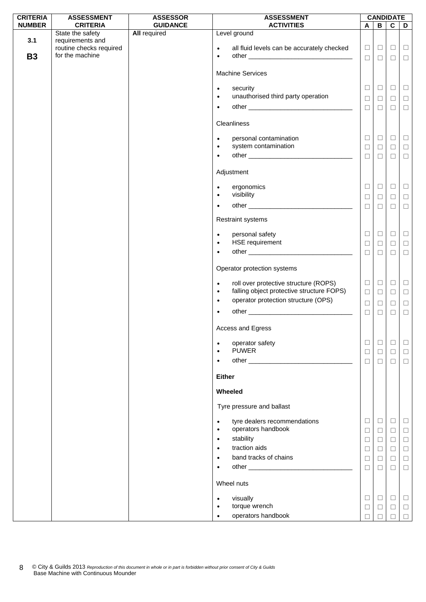| <b>CRITERIA</b> | <b>ASSESSMENT</b>                          | <b>ASSESSOR</b>     | <b>ASSESSMENT</b>                                                                                            | <b>CANDIDATE</b> |                  |                  |                  |  |
|-----------------|--------------------------------------------|---------------------|--------------------------------------------------------------------------------------------------------------|------------------|------------------|------------------|------------------|--|
| <b>NUMBER</b>   | <b>CRITERIA</b>                            | <b>GUIDANCE</b>     | <b>ACTIVITIES</b>                                                                                            | A                | $\overline{B}$   | $\overline{c}$   | D                |  |
| 3.1             | State the safety<br>requirements and       | <b>All required</b> | Level ground                                                                                                 |                  |                  |                  |                  |  |
| <b>B3</b>       | routine checks required<br>for the machine |                     | all fluid levels can be accurately checked<br>$\bullet$<br>$\bullet$                                         | $\Box$<br>$\Box$ | $\Box$<br>$\Box$ | $\Box$<br>$\Box$ | $\Box$<br>$\Box$ |  |
|                 |                                            |                     | <b>Machine Services</b>                                                                                      |                  |                  |                  |                  |  |
|                 |                                            |                     | security<br>$\bullet$<br>unauthorised third party operation<br>$\bullet$                                     | $\Box$<br>$\Box$ | $\Box$<br>$\Box$ | $\Box$<br>$\Box$ | $\Box$<br>$\Box$ |  |
|                 |                                            |                     | $\bullet$                                                                                                    | $\Box$           | $\Box$           | $\Box$           | $\Box$           |  |
|                 |                                            |                     | Cleanliness                                                                                                  |                  |                  |                  |                  |  |
|                 |                                            |                     | personal contamination<br>$\bullet$<br>system contamination<br>$\bullet$                                     | $\Box$           | $\Box$           | $\Box$           | $\Box$           |  |
|                 |                                            |                     | $\bullet$                                                                                                    | $\Box$<br>$\Box$ | $\Box$<br>$\Box$ | $\Box$<br>$\Box$ | $\Box$<br>$\Box$ |  |
|                 |                                            |                     | Adjustment                                                                                                   |                  |                  |                  |                  |  |
|                 |                                            |                     | ergonomics<br>$\bullet$<br>visibility<br>$\bullet$                                                           | $\Box$           | $\Box$           | $\Box$           | $\Box$           |  |
|                 |                                            |                     |                                                                                                              | $\Box$<br>$\Box$ | $\Box$<br>$\Box$ | $\Box$<br>$\Box$ | $\Box$<br>$\Box$ |  |
|                 |                                            |                     | Restraint systems                                                                                            |                  |                  |                  |                  |  |
|                 |                                            |                     | personal safety<br>$\bullet$<br>HSE requirement<br>$\bullet$                                                 | $\Box$<br>$\Box$ | $\Box$<br>$\Box$ | $\Box$<br>$\Box$ | $\Box$<br>$\Box$ |  |
|                 |                                            |                     | $\bullet$                                                                                                    | $\Box$           | $\Box$           | $\Box$           | $\Box$           |  |
|                 |                                            |                     | Operator protection systems                                                                                  |                  |                  |                  |                  |  |
|                 |                                            |                     | roll over protective structure (ROPS)<br>$\bullet$<br>falling object protective structure FOPS)<br>$\bullet$ | $\Box$<br>$\Box$ | $\Box$<br>$\Box$ | $\Box$<br>$\Box$ | $\Box$<br>$\Box$ |  |
|                 |                                            |                     | operator protection structure (OPS)<br>$\bullet$                                                             | $\Box$           | $\Box$           | $\Box$           | $\Box$           |  |
|                 |                                            |                     | $\bullet$                                                                                                    | $\Box$           | $\Box$           | $\Box$           | $\Box$           |  |
|                 |                                            |                     | Access and Egress                                                                                            |                  |                  |                  |                  |  |
|                 |                                            |                     | operator safety<br>$\bullet$<br><b>PUWER</b>                                                                 | $\Box$<br>$\Box$ | $\Box$<br>$\Box$ | $\Box$<br>$\Box$ | $\Box$<br>$\Box$ |  |
|                 |                                            |                     | $\bullet$                                                                                                    | $\Box$           | $\Box$           | $\Box$           | $\Box$           |  |
|                 |                                            |                     | <b>Either</b>                                                                                                |                  |                  |                  |                  |  |
|                 |                                            |                     | Wheeled                                                                                                      |                  |                  |                  |                  |  |
|                 |                                            |                     | Tyre pressure and ballast                                                                                    |                  |                  |                  |                  |  |
|                 |                                            |                     | tyre dealers recommendations<br>$\bullet$<br>operators handbook<br>$\bullet$                                 | $\Box$<br>$\Box$ | $\Box$<br>$\Box$ | $\Box$<br>$\Box$ | $\Box$<br>$\Box$ |  |
|                 |                                            |                     | stability<br>$\bullet$<br>traction aids<br>$\bullet$                                                         | $\Box$<br>$\Box$ | $\Box$<br>$\Box$ | $\Box$<br>$\Box$ | $\Box$<br>$\Box$ |  |
|                 |                                            |                     | band tracks of chains<br>$\bullet$                                                                           | $\Box$           | $\Box$           | $\Box$           | $\Box$           |  |
|                 |                                            |                     |                                                                                                              | $\Box$           | $\Box$           | $\Box$           | $\Box$           |  |
|                 |                                            |                     | Wheel nuts                                                                                                   |                  |                  |                  |                  |  |
|                 |                                            |                     | visually<br>$\bullet$<br>torque wrench<br>$\bullet$                                                          | $\Box$           | $\Box$           | $\Box$           | $\Box$           |  |
|                 |                                            |                     | operators handbook<br>$\bullet$                                                                              | $\Box$           | ⊔                | $\Box$           | $\Box$<br>$\Box$ |  |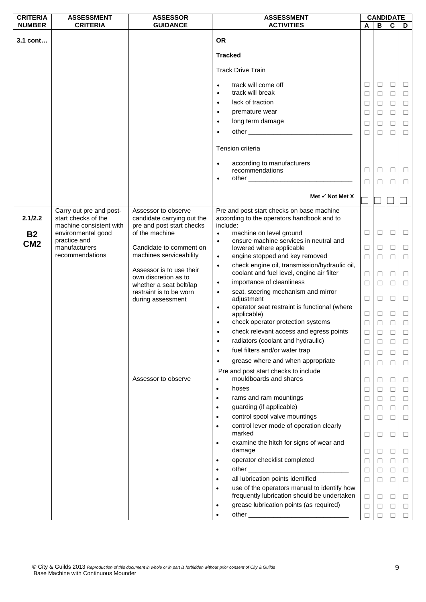| <b>CRITERIA</b> | <b>ASSESSMENT</b>                              | <b>ASSESSOR</b>                                         | <b>ASSESSMENT</b>                                                                                                                                                                                                                           |        |        | <b>CANDIDATE</b> |        |
|-----------------|------------------------------------------------|---------------------------------------------------------|---------------------------------------------------------------------------------------------------------------------------------------------------------------------------------------------------------------------------------------------|--------|--------|------------------|--------|
| <b>NUMBER</b>   | <b>CRITERIA</b>                                | <b>GUIDANCE</b>                                         | <b>ACTIVITIES</b>                                                                                                                                                                                                                           | A      | в      | $\overline{c}$   | D      |
| 3.1 cont        |                                                |                                                         | <b>OR</b>                                                                                                                                                                                                                                   |        |        |                  |        |
|                 |                                                |                                                         | <b>Tracked</b>                                                                                                                                                                                                                              |        |        |                  |        |
|                 |                                                |                                                         | <b>Track Drive Train</b>                                                                                                                                                                                                                    |        |        |                  |        |
|                 |                                                |                                                         | track will come off<br>$\bullet$                                                                                                                                                                                                            | $\Box$ | □      | □                | $\Box$ |
|                 |                                                |                                                         | track will break<br>$\bullet$                                                                                                                                                                                                               | $\Box$ | $\Box$ | $\Box$           | $\Box$ |
|                 |                                                |                                                         | lack of traction<br>$\bullet$                                                                                                                                                                                                               | $\Box$ | $\Box$ | $\Box$           | $\Box$ |
|                 |                                                |                                                         | premature wear<br>$\bullet$                                                                                                                                                                                                                 |        |        |                  |        |
|                 |                                                |                                                         |                                                                                                                                                                                                                                             | □      | □      | $\Box$           | $\Box$ |
|                 |                                                |                                                         | long term damage<br>$\bullet$                                                                                                                                                                                                               | $\Box$ | □      | □                | $\Box$ |
|                 |                                                |                                                         | $\bullet$                                                                                                                                                                                                                                   | $\Box$ | $\Box$ | П                | $\Box$ |
|                 |                                                |                                                         | Tension criteria                                                                                                                                                                                                                            |        |        |                  |        |
|                 |                                                |                                                         | according to manufacturers<br>$\bullet$                                                                                                                                                                                                     |        |        |                  |        |
|                 |                                                |                                                         | recommendations                                                                                                                                                                                                                             | $\Box$ | □      | □                | $\Box$ |
|                 |                                                |                                                         | other experience and the contract of the contract of the contract of the contract of the contract of the contract of the contract of the contract of the contract of the contract of the contract of the contract of the contr<br>$\bullet$ | П      | П      | $\Box$           | $\Box$ |
|                 |                                                |                                                         |                                                                                                                                                                                                                                             |        |        |                  |        |
|                 |                                                |                                                         | Met $\checkmark$ Not Met X                                                                                                                                                                                                                  |        |        |                  |        |
|                 | Carry out pre and post-                        | Assessor to observe                                     | Pre and post start checks on base machine                                                                                                                                                                                                   |        |        |                  |        |
| 2.1/2.2         | start checks of the<br>machine consistent with | candidate carrying out the<br>pre and post start checks | according to the operators handbook and to<br>include:                                                                                                                                                                                      |        |        |                  |        |
|                 | environmental good                             | of the machine                                          | machine on level ground<br>$\bullet$                                                                                                                                                                                                        | $\Box$ | $\Box$ | $\Box$           | $\Box$ |
| <b>B2</b>       | practice and                                   |                                                         | ensure machine services in neutral and<br>$\bullet$                                                                                                                                                                                         |        |        |                  |        |
| CM <sub>2</sub> | manufacturers                                  | Candidate to comment on                                 | lowered where applicable                                                                                                                                                                                                                    | $\Box$ | $\Box$ | □                | $\Box$ |
|                 | recommendations                                | machines serviceability                                 | engine stopped and key removed<br>$\bullet$                                                                                                                                                                                                 | $\Box$ | $\Box$ | $\Box$           | $\Box$ |
|                 |                                                |                                                         | check engine oil, transmission/hydraulic oil,<br>$\bullet$                                                                                                                                                                                  |        |        |                  |        |
|                 |                                                | Assessor is to use their                                | coolant and fuel level, engine air filter                                                                                                                                                                                                   | $\Box$ | □      | $\Box$           | $\Box$ |
|                 |                                                | own discretion as to                                    | importance of cleanliness<br>$\bullet$                                                                                                                                                                                                      | $\Box$ | $\Box$ | $\Box$           | $\Box$ |
|                 |                                                | whether a seat belt/lap<br>restraint is to be worn      | seat, steering mechanism and mirror<br>$\bullet$                                                                                                                                                                                            |        |        |                  |        |
|                 |                                                | during assessment                                       | adjustment                                                                                                                                                                                                                                  | $\Box$ | $\Box$ | □                | $\Box$ |
|                 |                                                |                                                         | operator seat restraint is functional (where<br>$\bullet$                                                                                                                                                                                   |        |        |                  |        |
|                 |                                                |                                                         | applicable)                                                                                                                                                                                                                                 | $\Box$ | $\Box$ | $\Box$           | $\Box$ |
|                 |                                                |                                                         | check operator protection systems<br>$\bullet$                                                                                                                                                                                              | $\Box$ | $\Box$ | □                | $\Box$ |
|                 |                                                |                                                         | check relevant access and egress points<br>$\bullet$                                                                                                                                                                                        | $\Box$ | $\Box$ | $\Box$           | $\Box$ |
|                 |                                                |                                                         | radiators (coolant and hydraulic)<br>$\bullet$                                                                                                                                                                                              | □      | □      | ⊔                |        |
|                 |                                                |                                                         | fuel filters and/or water trap<br>٠                                                                                                                                                                                                         | □      | □      | □                | $\Box$ |
|                 |                                                |                                                         | grease where and when appropriate<br>$\bullet$                                                                                                                                                                                              | □      | □      | □                | $\Box$ |
|                 |                                                | Assessor to observe                                     | Pre and post start checks to include<br>mouldboards and shares                                                                                                                                                                              |        |        |                  |        |
|                 |                                                |                                                         |                                                                                                                                                                                                                                             | □      | $\Box$ | □                | $\Box$ |
|                 |                                                |                                                         | hoses<br>$\bullet$                                                                                                                                                                                                                          | $\Box$ | □      | □                | $\Box$ |
|                 |                                                |                                                         | rams and ram mountings<br>$\bullet$                                                                                                                                                                                                         | $\Box$ | $\Box$ | $\Box$           | $\Box$ |
|                 |                                                |                                                         | guarding (if applicable)<br>$\bullet$                                                                                                                                                                                                       | □      | □      | □                | $\Box$ |
|                 |                                                |                                                         | control spool valve mountings<br>$\bullet$                                                                                                                                                                                                  | $\Box$ | □      | □                | $\Box$ |
|                 |                                                |                                                         | control lever mode of operation clearly<br>$\bullet$<br>marked                                                                                                                                                                              | $\Box$ | □      | □                | □      |
|                 |                                                |                                                         | examine the hitch for signs of wear and<br>$\bullet$<br>damage                                                                                                                                                                              | □      | $\Box$ | □                | □      |
|                 |                                                |                                                         | operator checklist completed<br>$\bullet$                                                                                                                                                                                                   | $\Box$ | $\Box$ | $\Box$           | $\Box$ |
|                 |                                                |                                                         | $\bullet$                                                                                                                                                                                                                                   |        |        |                  |        |
|                 |                                                |                                                         | all lubrication points identified                                                                                                                                                                                                           | $\Box$ | □      | □                | $\Box$ |
|                 |                                                |                                                         | $\bullet$                                                                                                                                                                                                                                   | $\Box$ | $\Box$ | $\Box$           | $\Box$ |
|                 |                                                |                                                         | use of the operators manual to identify how<br>$\bullet$<br>frequently lubrication should be undertaken                                                                                                                                     | $\Box$ | □      | □                | □      |
|                 |                                                |                                                         | grease lubrication points (as required)<br>$\bullet$                                                                                                                                                                                        | $\Box$ | $\Box$ | $\Box$           | $\Box$ |
|                 |                                                |                                                         |                                                                                                                                                                                                                                             | П      |        |                  |        |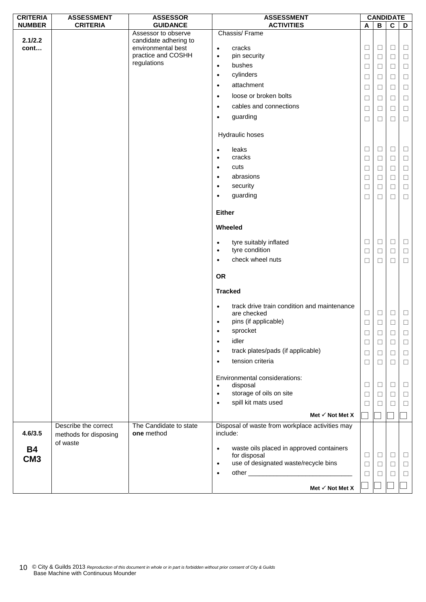| <b>CRITERIA</b> | <b>ASSESSMENT</b>                             | <b>ASSESSOR</b>                              | <b>ASSESSMENT</b>                                                     |        | <b>CANDIDATE</b>        |                         |        |
|-----------------|-----------------------------------------------|----------------------------------------------|-----------------------------------------------------------------------|--------|-------------------------|-------------------------|--------|
| <b>NUMBER</b>   | <b>CRITERIA</b>                               | <b>GUIDANCE</b>                              | <b>ACTIVITIES</b>                                                     | A      | $\overline{\mathbf{B}}$ | $\overline{\mathbf{c}}$ | D      |
| 2.1/2.2         |                                               | Assessor to observe<br>candidate adhering to | Chassis/Frame                                                         |        |                         |                         |        |
| cont            |                                               | environmental best                           | cracks<br>$\bullet$                                                   | $\Box$ | $\Box$                  | $\Box$                  | $\Box$ |
|                 |                                               | practice and COSHH                           | pin security<br>$\bullet$                                             | $\Box$ | $\Box$                  | $\Box$                  | $\Box$ |
|                 |                                               | regulations                                  | bushes<br>$\bullet$                                                   | $\Box$ | $\Box$                  | $\Box$                  | $\Box$ |
|                 |                                               |                                              | cylinders<br>$\bullet$                                                | $\Box$ | $\Box$                  | $\Box$                  | $\Box$ |
|                 |                                               |                                              | attachment<br>$\bullet$                                               | $\Box$ | $\Box$                  | □                       | $\Box$ |
|                 |                                               |                                              | loose or broken bolts<br>$\bullet$                                    | $\Box$ | $\Box$                  | $\Box$                  | $\Box$ |
|                 |                                               |                                              | cables and connections<br>$\bullet$                                   | $\Box$ | $\Box$                  | $\Box$                  | $\Box$ |
|                 |                                               |                                              | guarding<br>$\bullet$                                                 | ⊔      | □                       | ⊔                       | ⊔      |
|                 |                                               |                                              |                                                                       |        |                         |                         |        |
|                 |                                               |                                              | Hydraulic hoses                                                       |        |                         |                         |        |
|                 |                                               |                                              | leaks<br>$\bullet$                                                    | Ш      | $\Box$                  | ⊔                       | $\Box$ |
|                 |                                               |                                              | cracks<br>$\bullet$                                                   | $\Box$ | $\Box$                  | $\Box$                  | $\Box$ |
|                 |                                               |                                              | cuts<br>$\bullet$                                                     | Ш      | $\Box$                  | □                       | $\Box$ |
|                 |                                               |                                              | abrasions<br>$\bullet$                                                | $\Box$ | $\Box$                  | $\Box$                  | $\Box$ |
|                 |                                               |                                              | security<br>$\bullet$                                                 | □      | $\Box$                  | □                       | □      |
|                 |                                               |                                              | guarding<br>$\bullet$                                                 | $\Box$ | $\Box$                  | $\Box$                  | $\Box$ |
|                 |                                               |                                              |                                                                       |        |                         |                         |        |
|                 |                                               |                                              | <b>Either</b>                                                         |        |                         |                         |        |
|                 |                                               |                                              | Wheeled                                                               |        |                         |                         |        |
|                 |                                               |                                              | tyre suitably inflated<br>$\bullet$                                   | $\Box$ | $\Box$                  | $\Box$                  | $\Box$ |
|                 |                                               |                                              | tyre condition<br>$\bullet$                                           | $\Box$ | $\Box$                  | $\Box$                  | $\Box$ |
|                 |                                               |                                              | check wheel nuts<br>$\bullet$                                         | $\Box$ | □                       | □                       | $\Box$ |
|                 |                                               |                                              | <b>OR</b>                                                             |        |                         |                         |        |
|                 |                                               |                                              | <b>Tracked</b>                                                        |        |                         |                         |        |
|                 |                                               |                                              | track drive train condition and maintenance<br>$\bullet$              |        |                         |                         |        |
|                 |                                               |                                              | are checked                                                           | $\Box$ | $\Box$                  | $\Box$                  | $\Box$ |
|                 |                                               |                                              | pins (if applicable)<br>$\bullet$                                     | $\Box$ | $\Box$                  | $\Box$                  | $\Box$ |
|                 |                                               |                                              | sprocket                                                              | $\Box$ | $\Box$                  | $\Box$                  | $\Box$ |
|                 |                                               |                                              | idler<br>$\bullet$                                                    | $\Box$ | $\Box$                  | $\Box$                  | $\Box$ |
|                 |                                               |                                              | track plates/pads (if applicable)<br>$\bullet$                        | $\Box$ | $\Box$                  | $\Box$                  | $\Box$ |
|                 |                                               |                                              | tension criteria<br>$\bullet$                                         | $\Box$ | $\Box$                  | $\Box$                  | $\Box$ |
|                 |                                               |                                              | Environmental considerations:                                         |        |                         |                         |        |
|                 |                                               |                                              | disposal<br>$\bullet$                                                 | Ш      | $\Box$                  | ⊔                       | Ш      |
|                 |                                               |                                              | storage of oils on site<br>$\bullet$                                  | $\Box$ | $\Box$                  | $\Box$                  | $\Box$ |
|                 |                                               |                                              | spill kit mats used<br>$\bullet$                                      | П      | П                       | п                       | □      |
|                 |                                               |                                              | Met $\checkmark$ Not Met X                                            |        |                         |                         |        |
| 4.6/3.5         | Describe the correct<br>methods for disposing | The Candidate to state<br>one method         | Disposal of waste from workplace activities may<br>include:           |        |                         |                         |        |
|                 | of waste                                      |                                              |                                                                       |        |                         |                         |        |
| <b>B4</b>       |                                               |                                              | waste oils placed in approved containers<br>$\bullet$<br>for disposal | □      | $\Box$                  | $\Box$                  | ⊔      |
| CM <sub>3</sub> |                                               |                                              | use of designated waste/recycle bins<br>$\bullet$                     | $\Box$ | $\Box$                  | $\Box$                  | $\Box$ |
|                 |                                               |                                              | $\bullet$                                                             | $\Box$ | $\Box$                  | $\Box$                  | $\Box$ |
|                 |                                               |                                              |                                                                       |        |                         |                         |        |
|                 |                                               |                                              | Met $\checkmark$ Not Met X                                            |        |                         |                         |        |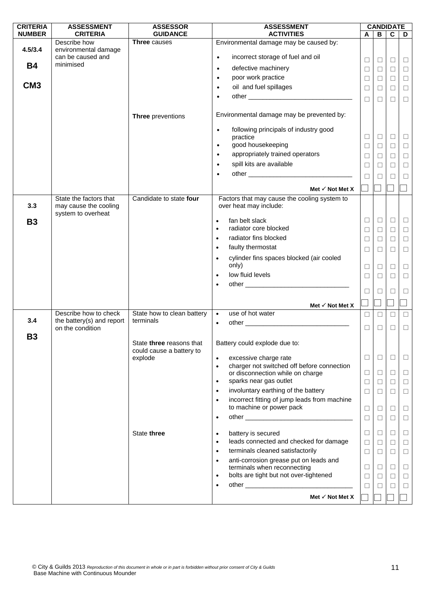| <b>CRITERIA</b> | <b>ASSESSMENT</b>                                                     | <b>ASSESSOR</b>                                      | <b>ASSESSMENT</b>                                                                  |        | <b>CANDIDATE</b> |                  |                  |
|-----------------|-----------------------------------------------------------------------|------------------------------------------------------|------------------------------------------------------------------------------------|--------|------------------|------------------|------------------|
| <b>NUMBER</b>   | <b>CRITERIA</b>                                                       | <b>GUIDANCE</b>                                      | <b>ACTIVITIES</b>                                                                  | A      | B                | $\mathbf c$      | D                |
| 4.5/3.4         | Describe how                                                          | Three causes                                         | Environmental damage may be caused by:                                             |        |                  |                  |                  |
|                 | environmental damage<br>can be caused and                             |                                                      | incorrect storage of fuel and oil<br>$\bullet$                                     |        |                  |                  |                  |
| <b>B4</b>       | minimised                                                             |                                                      | defective machinery<br>$\bullet$                                                   | □<br>□ | $\Box$<br>$\Box$ | $\Box$<br>$\Box$ | ⊔                |
|                 |                                                                       |                                                      | poor work practice<br>$\bullet$                                                    | $\Box$ | $\Box$           | $\Box$           | $\Box$<br>$\Box$ |
| CM <sub>3</sub> |                                                                       |                                                      | oil and fuel spillages<br>$\bullet$                                                | □      | $\Box$           | □                |                  |
|                 |                                                                       |                                                      | $\bullet$                                                                          |        |                  |                  | $\Box$           |
|                 |                                                                       |                                                      |                                                                                    | $\Box$ | $\Box$           | □                | $\Box$           |
|                 |                                                                       | Three preventions                                    | Environmental damage may be prevented by:                                          |        |                  |                  |                  |
|                 |                                                                       |                                                      | following principals of industry good<br>$\bullet$<br>practice                     | □      | $\Box$           | $\Box$           | $\Box$           |
|                 |                                                                       |                                                      | good housekeeping<br>$\bullet$                                                     | □      | $\Box$           | $\Box$           | $\Box$           |
|                 |                                                                       |                                                      | appropriately trained operators<br>$\bullet$                                       | □      | $\Box$           | □                | $\Box$           |
|                 |                                                                       |                                                      | spill kits are available<br>$\bullet$                                              | $\Box$ | $\Box$           | $\Box$           | $\Box$           |
|                 |                                                                       |                                                      | $\bullet$                                                                          | П      | $\Box$           | П                | □                |
|                 |                                                                       |                                                      |                                                                                    |        |                  |                  |                  |
|                 |                                                                       |                                                      | Met $\checkmark$ Not Met X                                                         |        |                  |                  |                  |
| 3.3             | State the factors that<br>may cause the cooling<br>system to overheat | Candidate to state four                              | Factors that may cause the cooling system to<br>over heat may include:             |        |                  |                  |                  |
| <b>B3</b>       |                                                                       |                                                      | fan belt slack<br>$\bullet$                                                        | □      | $\Box$           | $\Box$           | $\Box$           |
|                 |                                                                       |                                                      | radiator core blocked<br>$\bullet$                                                 | $\Box$ | $\Box$           | $\Box$           | $\Box$           |
|                 |                                                                       |                                                      | radiator fins blocked<br>$\bullet$                                                 | $\Box$ | $\Box$           | $\Box$           | $\Box$           |
|                 |                                                                       |                                                      | faulty thermostat<br>$\bullet$                                                     | $\Box$ | $\Box$           | $\Box$           | $\Box$           |
|                 |                                                                       |                                                      | cylinder fins spaces blocked (air cooled<br>$\bullet$                              |        |                  |                  |                  |
|                 |                                                                       |                                                      | only)                                                                              | $\Box$ | $\Box$           | $\Box$           | $\Box$           |
|                 |                                                                       |                                                      | low fluid levels<br>$\bullet$                                                      | $\Box$ | $\Box$           | $\Box$           | $\Box$           |
|                 |                                                                       |                                                      |                                                                                    |        |                  |                  |                  |
|                 |                                                                       |                                                      |                                                                                    | □      | $\Box$           | П                | ⊔                |
|                 |                                                                       |                                                      | Met $\checkmark$ Not Met X                                                         |        |                  |                  |                  |
|                 | Describe how to check                                                 | State how to clean battery                           | use of hot water<br>$\bullet$                                                      | $\Box$ | $\Box$           | $\Box$           | $\Box$           |
| 3.4             | the battery(s) and report                                             | terminals                                            | $\bullet$                                                                          |        |                  |                  |                  |
|                 | on the condition                                                      |                                                      |                                                                                    | П      | $\Box$           | П                | $\Box$           |
| <b>B3</b>       |                                                                       | State three reasons that<br>could cause a battery to | Battery could explode due to:                                                      |        |                  |                  |                  |
|                 |                                                                       | explode                                              | excessive charge rate<br>$\bullet$                                                 | □      | $\Box$           | $\Box$           | ⊔                |
|                 |                                                                       |                                                      | charger not switched off before connection<br>$\bullet$                            |        |                  |                  |                  |
|                 |                                                                       |                                                      | or disconnection while on charge<br>sparks near gas outlet<br>$\bullet$            | ⊔      | $\Box$           | $\Box$           | $\Box$           |
|                 |                                                                       |                                                      | involuntary earthing of the battery<br>$\bullet$                                   | $\Box$ | $\Box$           | $\Box$           | $\Box$           |
|                 |                                                                       |                                                      | incorrect fitting of jump leads from machine<br>$\bullet$                          | □      | $\Box$           | $\Box$           | $\Box$           |
|                 |                                                                       |                                                      | to machine or power pack                                                           | $\Box$ | $\Box$           | $\Box$           | $\Box$           |
|                 |                                                                       |                                                      | $\bullet$                                                                          | $\Box$ | $\Box$           | □                | $\Box$           |
|                 |                                                                       |                                                      |                                                                                    |        |                  |                  |                  |
|                 |                                                                       | State three                                          | battery is secured<br>$\bullet$<br>leads connected and checked for damage          | ⊔      | $\Box$           | □                | ⊔                |
|                 |                                                                       |                                                      | $\bullet$                                                                          | $\Box$ | $\Box$           | $\Box$           | $\Box$           |
|                 |                                                                       |                                                      | terminals cleaned satisfactorily<br>$\bullet$                                      | □      | $\Box$           | □                | $\Box$           |
|                 |                                                                       |                                                      | anti-corrosion grease put on leads and<br>$\bullet$<br>terminals when reconnecting | ⊔      | $\Box$           | $\Box$           | ⊔                |
|                 |                                                                       |                                                      | bolts are tight but not over-tightened<br>$\bullet$                                | □      | $\Box$           | $\Box$           | $\Box$           |
|                 |                                                                       |                                                      | $\bullet$                                                                          | ⊔      | $\Box$           | □                | $\Box$           |
|                 |                                                                       |                                                      |                                                                                    |        |                  |                  |                  |
|                 |                                                                       |                                                      | Met $\checkmark$ Not Met X                                                         |        |                  |                  |                  |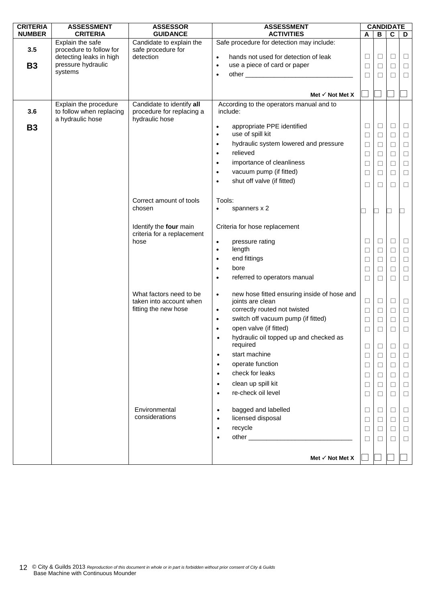| <b>NUMBER</b><br><b>CRITERIA</b><br><b>GUIDANCE</b><br><b>ACTIVITIES</b><br>В<br>$\mathbf c$<br>A<br>D<br>Explain the safe<br>Safe procedure for detection may include:<br>Candidate to explain the<br>3.5<br>procedure to follow for<br>safe procedure for<br>$\Box$<br>detecting leaks in high<br>detection<br>hands not used for detection of leak<br>$\Box$<br>$\Box$<br>Ц<br>$\bullet$<br>pressure hydraulic<br>use a piece of card or paper<br><b>B3</b><br>$\bullet$<br>$\Box$<br>$\Box$<br>$\Box$<br>$\Box$<br>systems<br>$\Box$<br>$\Box$<br>$\Box$<br>$\Box$<br>$\bullet$<br>Met $\checkmark$ Not Met X<br>Candidate to identify all<br>According to the operators manual and to<br>Explain the procedure<br>3.6<br>to follow when replacing<br>procedure for replacing a<br>include:<br>hydraulic hose<br>a hydraulic hose<br>$\Box$<br>$\Box$<br>$\Box$<br>$\Box$<br>appropriate PPE identified<br><b>B3</b><br>$\bullet$<br>use of spill kit<br>$\Box$<br>$\Box$<br>$\Box$<br>$\Box$<br>$\bullet$<br>hydraulic system lowered and pressure<br>$\Box$<br>$\Box$<br>$\bullet$<br>$\Box$<br>$\Box$<br>relieved<br>$\Box$<br>$\Box$<br>$\bullet$<br>$\Box$<br>$\Box$<br>importance of cleanliness<br>$\Box$<br>$\Box$<br>$\Box$<br>$\Box$<br>vacuum pump (if fitted)<br>$\Box$<br>$\Box$<br>$\Box$<br>$\Box$<br>shut off valve (if fitted)<br>П<br>$\Box$<br>□<br>□<br>Correct amount of tools<br>Tools:<br>spanners x 2<br>chosen<br>$\bullet$<br>- I<br>$\sqcup$<br>- 1<br>Identify the four main<br>Criteria for hose replacement<br>criteria for a replacement<br>$\Box$<br>□<br>$\Box$<br>$\Box$<br>hose<br>pressure rating<br>$\bullet$<br>length<br>$\Box$<br>$\bullet$<br>$\Box$<br>$\Box$<br>$\Box$<br>end fittings<br>$\Box$<br>$\Box$<br>$\Box$<br>$\bullet$<br>$\Box$<br>bore<br>$\Box$<br>$\bullet$<br>$\Box$<br>$\Box$<br>$\Box$<br>referred to operators manual<br>$\Box$<br>$\bullet$<br>$\Box$<br>$\Box$<br>$\Box$<br>new hose fitted ensuring inside of hose and<br>What factors need to be<br>$\bullet$<br>joints are clean<br>$\Box$<br>$\Box$<br>taken into account when<br>□<br>$\Box$<br>correctly routed not twisted<br>fitting the new hose<br>$\bullet$<br>$\Box$<br>$\Box$<br>$\Box$<br>$\Box$<br>switch off vacuum pump (if fitted)<br>$\Box$<br>$\Box$<br>$\bullet$<br>$\Box$<br>$\Box$<br>open valve (if fitted)<br>$\bullet$<br>$\Box$<br>$\Box$<br>$\Box$<br>$\Box$<br>hydraulic oil topped up and checked as<br>$\bullet$<br>required<br>$\Box$<br>□<br>⊔<br>⊔<br>start machine<br>$\Box$<br>$\Box$<br>$\bullet$<br>$\Box$<br>$\Box$<br>operate function<br>$\Box$<br>$\bullet$<br>$\Box$<br>$\Box$<br>□<br>check for leaks<br>$\bullet$<br>$\Box$<br>□<br>$\Box$<br>$\perp$<br>clean up spill kit<br>$\bullet$<br>$\Box$<br>□<br>$\Box$<br>└<br>re-check oil level<br>$\bullet$<br>$\Box$<br>$\Box$<br>$\Box$<br>$\Box$<br>Environmental<br>bagged and labelled<br>$\Box$<br>□<br>$\bullet$<br>□<br>$\perp$<br>considerations<br>licensed disposal<br>$\bullet$<br>$\Box$<br>$\Box$<br>$\Box$<br>□<br>recycle<br>$\bullet$<br>$\Box$<br>$\Box$<br>$\Box$<br>□<br>$\bullet$<br>$\Box$<br>$\Box$<br>П<br>$\Box$ | <b>CRITERIA</b> | <b>ASSESSMENT</b> | <b>ASSESSOR</b> | <b>ASSESSMENT</b> |  |  | <b>CANDIDATE</b> |  |
|----------------------------------------------------------------------------------------------------------------------------------------------------------------------------------------------------------------------------------------------------------------------------------------------------------------------------------------------------------------------------------------------------------------------------------------------------------------------------------------------------------------------------------------------------------------------------------------------------------------------------------------------------------------------------------------------------------------------------------------------------------------------------------------------------------------------------------------------------------------------------------------------------------------------------------------------------------------------------------------------------------------------------------------------------------------------------------------------------------------------------------------------------------------------------------------------------------------------------------------------------------------------------------------------------------------------------------------------------------------------------------------------------------------------------------------------------------------------------------------------------------------------------------------------------------------------------------------------------------------------------------------------------------------------------------------------------------------------------------------------------------------------------------------------------------------------------------------------------------------------------------------------------------------------------------------------------------------------------------------------------------------------------------------------------------------------------------------------------------------------------------------------------------------------------------------------------------------------------------------------------------------------------------------------------------------------------------------------------------------------------------------------------------------------------------------------------------------------------------------------------------------------------------------------------------------------------------------------------------------------------------------------------------------------------------------------------------------------------------------------------------------------------------------------------------------------------------------------------------------------------------------------------------------------------------------------------------------------------------------------------------------------------------------------------------------------------------------------------------------------------------------------------------|-----------------|-------------------|-----------------|-------------------|--|--|------------------|--|
|                                                                                                                                                                                                                                                                                                                                                                                                                                                                                                                                                                                                                                                                                                                                                                                                                                                                                                                                                                                                                                                                                                                                                                                                                                                                                                                                                                                                                                                                                                                                                                                                                                                                                                                                                                                                                                                                                                                                                                                                                                                                                                                                                                                                                                                                                                                                                                                                                                                                                                                                                                                                                                                                                                                                                                                                                                                                                                                                                                                                                                                                                                                                                          |                 |                   |                 |                   |  |  |                  |  |
|                                                                                                                                                                                                                                                                                                                                                                                                                                                                                                                                                                                                                                                                                                                                                                                                                                                                                                                                                                                                                                                                                                                                                                                                                                                                                                                                                                                                                                                                                                                                                                                                                                                                                                                                                                                                                                                                                                                                                                                                                                                                                                                                                                                                                                                                                                                                                                                                                                                                                                                                                                                                                                                                                                                                                                                                                                                                                                                                                                                                                                                                                                                                                          |                 |                   |                 |                   |  |  |                  |  |
|                                                                                                                                                                                                                                                                                                                                                                                                                                                                                                                                                                                                                                                                                                                                                                                                                                                                                                                                                                                                                                                                                                                                                                                                                                                                                                                                                                                                                                                                                                                                                                                                                                                                                                                                                                                                                                                                                                                                                                                                                                                                                                                                                                                                                                                                                                                                                                                                                                                                                                                                                                                                                                                                                                                                                                                                                                                                                                                                                                                                                                                                                                                                                          |                 |                   |                 |                   |  |  |                  |  |
|                                                                                                                                                                                                                                                                                                                                                                                                                                                                                                                                                                                                                                                                                                                                                                                                                                                                                                                                                                                                                                                                                                                                                                                                                                                                                                                                                                                                                                                                                                                                                                                                                                                                                                                                                                                                                                                                                                                                                                                                                                                                                                                                                                                                                                                                                                                                                                                                                                                                                                                                                                                                                                                                                                                                                                                                                                                                                                                                                                                                                                                                                                                                                          |                 |                   |                 |                   |  |  |                  |  |
|                                                                                                                                                                                                                                                                                                                                                                                                                                                                                                                                                                                                                                                                                                                                                                                                                                                                                                                                                                                                                                                                                                                                                                                                                                                                                                                                                                                                                                                                                                                                                                                                                                                                                                                                                                                                                                                                                                                                                                                                                                                                                                                                                                                                                                                                                                                                                                                                                                                                                                                                                                                                                                                                                                                                                                                                                                                                                                                                                                                                                                                                                                                                                          |                 |                   |                 |                   |  |  |                  |  |
|                                                                                                                                                                                                                                                                                                                                                                                                                                                                                                                                                                                                                                                                                                                                                                                                                                                                                                                                                                                                                                                                                                                                                                                                                                                                                                                                                                                                                                                                                                                                                                                                                                                                                                                                                                                                                                                                                                                                                                                                                                                                                                                                                                                                                                                                                                                                                                                                                                                                                                                                                                                                                                                                                                                                                                                                                                                                                                                                                                                                                                                                                                                                                          |                 |                   |                 |                   |  |  |                  |  |
|                                                                                                                                                                                                                                                                                                                                                                                                                                                                                                                                                                                                                                                                                                                                                                                                                                                                                                                                                                                                                                                                                                                                                                                                                                                                                                                                                                                                                                                                                                                                                                                                                                                                                                                                                                                                                                                                                                                                                                                                                                                                                                                                                                                                                                                                                                                                                                                                                                                                                                                                                                                                                                                                                                                                                                                                                                                                                                                                                                                                                                                                                                                                                          |                 |                   |                 |                   |  |  |                  |  |
|                                                                                                                                                                                                                                                                                                                                                                                                                                                                                                                                                                                                                                                                                                                                                                                                                                                                                                                                                                                                                                                                                                                                                                                                                                                                                                                                                                                                                                                                                                                                                                                                                                                                                                                                                                                                                                                                                                                                                                                                                                                                                                                                                                                                                                                                                                                                                                                                                                                                                                                                                                                                                                                                                                                                                                                                                                                                                                                                                                                                                                                                                                                                                          |                 |                   |                 |                   |  |  |                  |  |
|                                                                                                                                                                                                                                                                                                                                                                                                                                                                                                                                                                                                                                                                                                                                                                                                                                                                                                                                                                                                                                                                                                                                                                                                                                                                                                                                                                                                                                                                                                                                                                                                                                                                                                                                                                                                                                                                                                                                                                                                                                                                                                                                                                                                                                                                                                                                                                                                                                                                                                                                                                                                                                                                                                                                                                                                                                                                                                                                                                                                                                                                                                                                                          |                 |                   |                 |                   |  |  |                  |  |
|                                                                                                                                                                                                                                                                                                                                                                                                                                                                                                                                                                                                                                                                                                                                                                                                                                                                                                                                                                                                                                                                                                                                                                                                                                                                                                                                                                                                                                                                                                                                                                                                                                                                                                                                                                                                                                                                                                                                                                                                                                                                                                                                                                                                                                                                                                                                                                                                                                                                                                                                                                                                                                                                                                                                                                                                                                                                                                                                                                                                                                                                                                                                                          |                 |                   |                 |                   |  |  |                  |  |
|                                                                                                                                                                                                                                                                                                                                                                                                                                                                                                                                                                                                                                                                                                                                                                                                                                                                                                                                                                                                                                                                                                                                                                                                                                                                                                                                                                                                                                                                                                                                                                                                                                                                                                                                                                                                                                                                                                                                                                                                                                                                                                                                                                                                                                                                                                                                                                                                                                                                                                                                                                                                                                                                                                                                                                                                                                                                                                                                                                                                                                                                                                                                                          |                 |                   |                 |                   |  |  |                  |  |
|                                                                                                                                                                                                                                                                                                                                                                                                                                                                                                                                                                                                                                                                                                                                                                                                                                                                                                                                                                                                                                                                                                                                                                                                                                                                                                                                                                                                                                                                                                                                                                                                                                                                                                                                                                                                                                                                                                                                                                                                                                                                                                                                                                                                                                                                                                                                                                                                                                                                                                                                                                                                                                                                                                                                                                                                                                                                                                                                                                                                                                                                                                                                                          |                 |                   |                 |                   |  |  |                  |  |
|                                                                                                                                                                                                                                                                                                                                                                                                                                                                                                                                                                                                                                                                                                                                                                                                                                                                                                                                                                                                                                                                                                                                                                                                                                                                                                                                                                                                                                                                                                                                                                                                                                                                                                                                                                                                                                                                                                                                                                                                                                                                                                                                                                                                                                                                                                                                                                                                                                                                                                                                                                                                                                                                                                                                                                                                                                                                                                                                                                                                                                                                                                                                                          |                 |                   |                 |                   |  |  |                  |  |
|                                                                                                                                                                                                                                                                                                                                                                                                                                                                                                                                                                                                                                                                                                                                                                                                                                                                                                                                                                                                                                                                                                                                                                                                                                                                                                                                                                                                                                                                                                                                                                                                                                                                                                                                                                                                                                                                                                                                                                                                                                                                                                                                                                                                                                                                                                                                                                                                                                                                                                                                                                                                                                                                                                                                                                                                                                                                                                                                                                                                                                                                                                                                                          |                 |                   |                 |                   |  |  |                  |  |
|                                                                                                                                                                                                                                                                                                                                                                                                                                                                                                                                                                                                                                                                                                                                                                                                                                                                                                                                                                                                                                                                                                                                                                                                                                                                                                                                                                                                                                                                                                                                                                                                                                                                                                                                                                                                                                                                                                                                                                                                                                                                                                                                                                                                                                                                                                                                                                                                                                                                                                                                                                                                                                                                                                                                                                                                                                                                                                                                                                                                                                                                                                                                                          |                 |                   |                 |                   |  |  |                  |  |
|                                                                                                                                                                                                                                                                                                                                                                                                                                                                                                                                                                                                                                                                                                                                                                                                                                                                                                                                                                                                                                                                                                                                                                                                                                                                                                                                                                                                                                                                                                                                                                                                                                                                                                                                                                                                                                                                                                                                                                                                                                                                                                                                                                                                                                                                                                                                                                                                                                                                                                                                                                                                                                                                                                                                                                                                                                                                                                                                                                                                                                                                                                                                                          |                 |                   |                 |                   |  |  |                  |  |
|                                                                                                                                                                                                                                                                                                                                                                                                                                                                                                                                                                                                                                                                                                                                                                                                                                                                                                                                                                                                                                                                                                                                                                                                                                                                                                                                                                                                                                                                                                                                                                                                                                                                                                                                                                                                                                                                                                                                                                                                                                                                                                                                                                                                                                                                                                                                                                                                                                                                                                                                                                                                                                                                                                                                                                                                                                                                                                                                                                                                                                                                                                                                                          |                 |                   |                 |                   |  |  |                  |  |
|                                                                                                                                                                                                                                                                                                                                                                                                                                                                                                                                                                                                                                                                                                                                                                                                                                                                                                                                                                                                                                                                                                                                                                                                                                                                                                                                                                                                                                                                                                                                                                                                                                                                                                                                                                                                                                                                                                                                                                                                                                                                                                                                                                                                                                                                                                                                                                                                                                                                                                                                                                                                                                                                                                                                                                                                                                                                                                                                                                                                                                                                                                                                                          |                 |                   |                 |                   |  |  |                  |  |
|                                                                                                                                                                                                                                                                                                                                                                                                                                                                                                                                                                                                                                                                                                                                                                                                                                                                                                                                                                                                                                                                                                                                                                                                                                                                                                                                                                                                                                                                                                                                                                                                                                                                                                                                                                                                                                                                                                                                                                                                                                                                                                                                                                                                                                                                                                                                                                                                                                                                                                                                                                                                                                                                                                                                                                                                                                                                                                                                                                                                                                                                                                                                                          |                 |                   |                 |                   |  |  |                  |  |
|                                                                                                                                                                                                                                                                                                                                                                                                                                                                                                                                                                                                                                                                                                                                                                                                                                                                                                                                                                                                                                                                                                                                                                                                                                                                                                                                                                                                                                                                                                                                                                                                                                                                                                                                                                                                                                                                                                                                                                                                                                                                                                                                                                                                                                                                                                                                                                                                                                                                                                                                                                                                                                                                                                                                                                                                                                                                                                                                                                                                                                                                                                                                                          |                 |                   |                 |                   |  |  |                  |  |
|                                                                                                                                                                                                                                                                                                                                                                                                                                                                                                                                                                                                                                                                                                                                                                                                                                                                                                                                                                                                                                                                                                                                                                                                                                                                                                                                                                                                                                                                                                                                                                                                                                                                                                                                                                                                                                                                                                                                                                                                                                                                                                                                                                                                                                                                                                                                                                                                                                                                                                                                                                                                                                                                                                                                                                                                                                                                                                                                                                                                                                                                                                                                                          |                 |                   |                 |                   |  |  |                  |  |
|                                                                                                                                                                                                                                                                                                                                                                                                                                                                                                                                                                                                                                                                                                                                                                                                                                                                                                                                                                                                                                                                                                                                                                                                                                                                                                                                                                                                                                                                                                                                                                                                                                                                                                                                                                                                                                                                                                                                                                                                                                                                                                                                                                                                                                                                                                                                                                                                                                                                                                                                                                                                                                                                                                                                                                                                                                                                                                                                                                                                                                                                                                                                                          |                 |                   |                 |                   |  |  |                  |  |
|                                                                                                                                                                                                                                                                                                                                                                                                                                                                                                                                                                                                                                                                                                                                                                                                                                                                                                                                                                                                                                                                                                                                                                                                                                                                                                                                                                                                                                                                                                                                                                                                                                                                                                                                                                                                                                                                                                                                                                                                                                                                                                                                                                                                                                                                                                                                                                                                                                                                                                                                                                                                                                                                                                                                                                                                                                                                                                                                                                                                                                                                                                                                                          |                 |                   |                 |                   |  |  |                  |  |
|                                                                                                                                                                                                                                                                                                                                                                                                                                                                                                                                                                                                                                                                                                                                                                                                                                                                                                                                                                                                                                                                                                                                                                                                                                                                                                                                                                                                                                                                                                                                                                                                                                                                                                                                                                                                                                                                                                                                                                                                                                                                                                                                                                                                                                                                                                                                                                                                                                                                                                                                                                                                                                                                                                                                                                                                                                                                                                                                                                                                                                                                                                                                                          |                 |                   |                 |                   |  |  |                  |  |
|                                                                                                                                                                                                                                                                                                                                                                                                                                                                                                                                                                                                                                                                                                                                                                                                                                                                                                                                                                                                                                                                                                                                                                                                                                                                                                                                                                                                                                                                                                                                                                                                                                                                                                                                                                                                                                                                                                                                                                                                                                                                                                                                                                                                                                                                                                                                                                                                                                                                                                                                                                                                                                                                                                                                                                                                                                                                                                                                                                                                                                                                                                                                                          |                 |                   |                 |                   |  |  |                  |  |
|                                                                                                                                                                                                                                                                                                                                                                                                                                                                                                                                                                                                                                                                                                                                                                                                                                                                                                                                                                                                                                                                                                                                                                                                                                                                                                                                                                                                                                                                                                                                                                                                                                                                                                                                                                                                                                                                                                                                                                                                                                                                                                                                                                                                                                                                                                                                                                                                                                                                                                                                                                                                                                                                                                                                                                                                                                                                                                                                                                                                                                                                                                                                                          |                 |                   |                 |                   |  |  |                  |  |
|                                                                                                                                                                                                                                                                                                                                                                                                                                                                                                                                                                                                                                                                                                                                                                                                                                                                                                                                                                                                                                                                                                                                                                                                                                                                                                                                                                                                                                                                                                                                                                                                                                                                                                                                                                                                                                                                                                                                                                                                                                                                                                                                                                                                                                                                                                                                                                                                                                                                                                                                                                                                                                                                                                                                                                                                                                                                                                                                                                                                                                                                                                                                                          |                 |                   |                 |                   |  |  |                  |  |
|                                                                                                                                                                                                                                                                                                                                                                                                                                                                                                                                                                                                                                                                                                                                                                                                                                                                                                                                                                                                                                                                                                                                                                                                                                                                                                                                                                                                                                                                                                                                                                                                                                                                                                                                                                                                                                                                                                                                                                                                                                                                                                                                                                                                                                                                                                                                                                                                                                                                                                                                                                                                                                                                                                                                                                                                                                                                                                                                                                                                                                                                                                                                                          |                 |                   |                 |                   |  |  |                  |  |
|                                                                                                                                                                                                                                                                                                                                                                                                                                                                                                                                                                                                                                                                                                                                                                                                                                                                                                                                                                                                                                                                                                                                                                                                                                                                                                                                                                                                                                                                                                                                                                                                                                                                                                                                                                                                                                                                                                                                                                                                                                                                                                                                                                                                                                                                                                                                                                                                                                                                                                                                                                                                                                                                                                                                                                                                                                                                                                                                                                                                                                                                                                                                                          |                 |                   |                 |                   |  |  |                  |  |
|                                                                                                                                                                                                                                                                                                                                                                                                                                                                                                                                                                                                                                                                                                                                                                                                                                                                                                                                                                                                                                                                                                                                                                                                                                                                                                                                                                                                                                                                                                                                                                                                                                                                                                                                                                                                                                                                                                                                                                                                                                                                                                                                                                                                                                                                                                                                                                                                                                                                                                                                                                                                                                                                                                                                                                                                                                                                                                                                                                                                                                                                                                                                                          |                 |                   |                 |                   |  |  |                  |  |
|                                                                                                                                                                                                                                                                                                                                                                                                                                                                                                                                                                                                                                                                                                                                                                                                                                                                                                                                                                                                                                                                                                                                                                                                                                                                                                                                                                                                                                                                                                                                                                                                                                                                                                                                                                                                                                                                                                                                                                                                                                                                                                                                                                                                                                                                                                                                                                                                                                                                                                                                                                                                                                                                                                                                                                                                                                                                                                                                                                                                                                                                                                                                                          |                 |                   |                 |                   |  |  |                  |  |
|                                                                                                                                                                                                                                                                                                                                                                                                                                                                                                                                                                                                                                                                                                                                                                                                                                                                                                                                                                                                                                                                                                                                                                                                                                                                                                                                                                                                                                                                                                                                                                                                                                                                                                                                                                                                                                                                                                                                                                                                                                                                                                                                                                                                                                                                                                                                                                                                                                                                                                                                                                                                                                                                                                                                                                                                                                                                                                                                                                                                                                                                                                                                                          |                 |                   |                 |                   |  |  |                  |  |
|                                                                                                                                                                                                                                                                                                                                                                                                                                                                                                                                                                                                                                                                                                                                                                                                                                                                                                                                                                                                                                                                                                                                                                                                                                                                                                                                                                                                                                                                                                                                                                                                                                                                                                                                                                                                                                                                                                                                                                                                                                                                                                                                                                                                                                                                                                                                                                                                                                                                                                                                                                                                                                                                                                                                                                                                                                                                                                                                                                                                                                                                                                                                                          |                 |                   |                 |                   |  |  |                  |  |
|                                                                                                                                                                                                                                                                                                                                                                                                                                                                                                                                                                                                                                                                                                                                                                                                                                                                                                                                                                                                                                                                                                                                                                                                                                                                                                                                                                                                                                                                                                                                                                                                                                                                                                                                                                                                                                                                                                                                                                                                                                                                                                                                                                                                                                                                                                                                                                                                                                                                                                                                                                                                                                                                                                                                                                                                                                                                                                                                                                                                                                                                                                                                                          |                 |                   |                 |                   |  |  |                  |  |
|                                                                                                                                                                                                                                                                                                                                                                                                                                                                                                                                                                                                                                                                                                                                                                                                                                                                                                                                                                                                                                                                                                                                                                                                                                                                                                                                                                                                                                                                                                                                                                                                                                                                                                                                                                                                                                                                                                                                                                                                                                                                                                                                                                                                                                                                                                                                                                                                                                                                                                                                                                                                                                                                                                                                                                                                                                                                                                                                                                                                                                                                                                                                                          |                 |                   |                 |                   |  |  |                  |  |
|                                                                                                                                                                                                                                                                                                                                                                                                                                                                                                                                                                                                                                                                                                                                                                                                                                                                                                                                                                                                                                                                                                                                                                                                                                                                                                                                                                                                                                                                                                                                                                                                                                                                                                                                                                                                                                                                                                                                                                                                                                                                                                                                                                                                                                                                                                                                                                                                                                                                                                                                                                                                                                                                                                                                                                                                                                                                                                                                                                                                                                                                                                                                                          |                 |                   |                 |                   |  |  |                  |  |
|                                                                                                                                                                                                                                                                                                                                                                                                                                                                                                                                                                                                                                                                                                                                                                                                                                                                                                                                                                                                                                                                                                                                                                                                                                                                                                                                                                                                                                                                                                                                                                                                                                                                                                                                                                                                                                                                                                                                                                                                                                                                                                                                                                                                                                                                                                                                                                                                                                                                                                                                                                                                                                                                                                                                                                                                                                                                                                                                                                                                                                                                                                                                                          |                 |                   |                 |                   |  |  |                  |  |
|                                                                                                                                                                                                                                                                                                                                                                                                                                                                                                                                                                                                                                                                                                                                                                                                                                                                                                                                                                                                                                                                                                                                                                                                                                                                                                                                                                                                                                                                                                                                                                                                                                                                                                                                                                                                                                                                                                                                                                                                                                                                                                                                                                                                                                                                                                                                                                                                                                                                                                                                                                                                                                                                                                                                                                                                                                                                                                                                                                                                                                                                                                                                                          |                 |                   |                 |                   |  |  |                  |  |
|                                                                                                                                                                                                                                                                                                                                                                                                                                                                                                                                                                                                                                                                                                                                                                                                                                                                                                                                                                                                                                                                                                                                                                                                                                                                                                                                                                                                                                                                                                                                                                                                                                                                                                                                                                                                                                                                                                                                                                                                                                                                                                                                                                                                                                                                                                                                                                                                                                                                                                                                                                                                                                                                                                                                                                                                                                                                                                                                                                                                                                                                                                                                                          |                 |                   |                 |                   |  |  |                  |  |
|                                                                                                                                                                                                                                                                                                                                                                                                                                                                                                                                                                                                                                                                                                                                                                                                                                                                                                                                                                                                                                                                                                                                                                                                                                                                                                                                                                                                                                                                                                                                                                                                                                                                                                                                                                                                                                                                                                                                                                                                                                                                                                                                                                                                                                                                                                                                                                                                                                                                                                                                                                                                                                                                                                                                                                                                                                                                                                                                                                                                                                                                                                                                                          |                 |                   |                 |                   |  |  |                  |  |
|                                                                                                                                                                                                                                                                                                                                                                                                                                                                                                                                                                                                                                                                                                                                                                                                                                                                                                                                                                                                                                                                                                                                                                                                                                                                                                                                                                                                                                                                                                                                                                                                                                                                                                                                                                                                                                                                                                                                                                                                                                                                                                                                                                                                                                                                                                                                                                                                                                                                                                                                                                                                                                                                                                                                                                                                                                                                                                                                                                                                                                                                                                                                                          |                 |                   |                 |                   |  |  |                  |  |
|                                                                                                                                                                                                                                                                                                                                                                                                                                                                                                                                                                                                                                                                                                                                                                                                                                                                                                                                                                                                                                                                                                                                                                                                                                                                                                                                                                                                                                                                                                                                                                                                                                                                                                                                                                                                                                                                                                                                                                                                                                                                                                                                                                                                                                                                                                                                                                                                                                                                                                                                                                                                                                                                                                                                                                                                                                                                                                                                                                                                                                                                                                                                                          |                 |                   |                 |                   |  |  |                  |  |
|                                                                                                                                                                                                                                                                                                                                                                                                                                                                                                                                                                                                                                                                                                                                                                                                                                                                                                                                                                                                                                                                                                                                                                                                                                                                                                                                                                                                                                                                                                                                                                                                                                                                                                                                                                                                                                                                                                                                                                                                                                                                                                                                                                                                                                                                                                                                                                                                                                                                                                                                                                                                                                                                                                                                                                                                                                                                                                                                                                                                                                                                                                                                                          |                 |                   |                 |                   |  |  |                  |  |
|                                                                                                                                                                                                                                                                                                                                                                                                                                                                                                                                                                                                                                                                                                                                                                                                                                                                                                                                                                                                                                                                                                                                                                                                                                                                                                                                                                                                                                                                                                                                                                                                                                                                                                                                                                                                                                                                                                                                                                                                                                                                                                                                                                                                                                                                                                                                                                                                                                                                                                                                                                                                                                                                                                                                                                                                                                                                                                                                                                                                                                                                                                                                                          |                 |                   |                 |                   |  |  |                  |  |
|                                                                                                                                                                                                                                                                                                                                                                                                                                                                                                                                                                                                                                                                                                                                                                                                                                                                                                                                                                                                                                                                                                                                                                                                                                                                                                                                                                                                                                                                                                                                                                                                                                                                                                                                                                                                                                                                                                                                                                                                                                                                                                                                                                                                                                                                                                                                                                                                                                                                                                                                                                                                                                                                                                                                                                                                                                                                                                                                                                                                                                                                                                                                                          |                 |                   |                 |                   |  |  |                  |  |
|                                                                                                                                                                                                                                                                                                                                                                                                                                                                                                                                                                                                                                                                                                                                                                                                                                                                                                                                                                                                                                                                                                                                                                                                                                                                                                                                                                                                                                                                                                                                                                                                                                                                                                                                                                                                                                                                                                                                                                                                                                                                                                                                                                                                                                                                                                                                                                                                                                                                                                                                                                                                                                                                                                                                                                                                                                                                                                                                                                                                                                                                                                                                                          |                 |                   |                 |                   |  |  |                  |  |
|                                                                                                                                                                                                                                                                                                                                                                                                                                                                                                                                                                                                                                                                                                                                                                                                                                                                                                                                                                                                                                                                                                                                                                                                                                                                                                                                                                                                                                                                                                                                                                                                                                                                                                                                                                                                                                                                                                                                                                                                                                                                                                                                                                                                                                                                                                                                                                                                                                                                                                                                                                                                                                                                                                                                                                                                                                                                                                                                                                                                                                                                                                                                                          |                 |                   |                 |                   |  |  |                  |  |
|                                                                                                                                                                                                                                                                                                                                                                                                                                                                                                                                                                                                                                                                                                                                                                                                                                                                                                                                                                                                                                                                                                                                                                                                                                                                                                                                                                                                                                                                                                                                                                                                                                                                                                                                                                                                                                                                                                                                                                                                                                                                                                                                                                                                                                                                                                                                                                                                                                                                                                                                                                                                                                                                                                                                                                                                                                                                                                                                                                                                                                                                                                                                                          |                 |                   |                 |                   |  |  |                  |  |
|                                                                                                                                                                                                                                                                                                                                                                                                                                                                                                                                                                                                                                                                                                                                                                                                                                                                                                                                                                                                                                                                                                                                                                                                                                                                                                                                                                                                                                                                                                                                                                                                                                                                                                                                                                                                                                                                                                                                                                                                                                                                                                                                                                                                                                                                                                                                                                                                                                                                                                                                                                                                                                                                                                                                                                                                                                                                                                                                                                                                                                                                                                                                                          |                 |                   |                 |                   |  |  |                  |  |
| Met $\checkmark$ Not Met X                                                                                                                                                                                                                                                                                                                                                                                                                                                                                                                                                                                                                                                                                                                                                                                                                                                                                                                                                                                                                                                                                                                                                                                                                                                                                                                                                                                                                                                                                                                                                                                                                                                                                                                                                                                                                                                                                                                                                                                                                                                                                                                                                                                                                                                                                                                                                                                                                                                                                                                                                                                                                                                                                                                                                                                                                                                                                                                                                                                                                                                                                                                               |                 |                   |                 |                   |  |  |                  |  |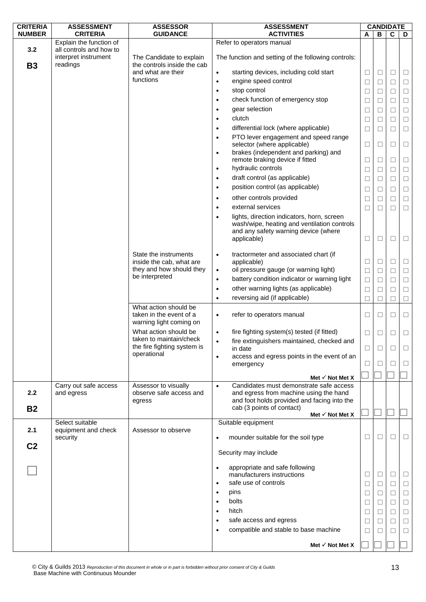| <b>CRITERIA</b> | <b>ASSESSMENT</b>                                  | <b>ASSESSOR</b>                                           | <b>ASSESSMENT</b>                                                                                                                             |        |        | <b>CANDIDATE</b> |          |
|-----------------|----------------------------------------------------|-----------------------------------------------------------|-----------------------------------------------------------------------------------------------------------------------------------------------|--------|--------|------------------|----------|
| <b>NUMBER</b>   | <b>CRITERIA</b>                                    | <b>GUIDANCE</b>                                           | <b>ACTIVITIES</b>                                                                                                                             | A      | В      | C                | D        |
|                 | Explain the function of                            |                                                           | Refer to operators manual                                                                                                                     |        |        |                  |          |
| 3.2             | all controls and how to<br>interpret instrument    | The Candidate to explain<br>the controls inside the cab   | The function and setting of the following controls:                                                                                           |        |        |                  |          |
| <b>B3</b>       | readings                                           | and what are their                                        | starting devices, including cold start<br>$\bullet$                                                                                           | $\Box$ | $\Box$ | □                | $\Box$   |
|                 |                                                    | functions                                                 | engine speed control                                                                                                                          |        |        |                  |          |
|                 |                                                    |                                                           | $\bullet$                                                                                                                                     | □      | $\Box$ | $\Box$           | $\Box$   |
|                 |                                                    |                                                           | stop control<br>$\bullet$                                                                                                                     | Ш      | ⊔      | $\Box$           | $\Box$   |
|                 |                                                    |                                                           | check function of emergency stop<br>$\bullet$                                                                                                 | □      | □      | $\Box$           | $\Box$   |
|                 |                                                    |                                                           | gear selection<br>٠                                                                                                                           | $\Box$ | □      | $\Box$           | $\Box$   |
|                 |                                                    |                                                           | clutch<br>$\bullet$                                                                                                                           | □      | □      | П                | $\Box$   |
|                 |                                                    |                                                           | differential lock (where applicable)<br>$\bullet$                                                                                             | □      | $\Box$ | $\Box$           | $\Box$   |
|                 |                                                    |                                                           | PTO lever engagement and speed range<br>$\bullet$<br>selector (where applicable)                                                              | $\Box$ | □      | □                | $\Box$   |
|                 |                                                    |                                                           | brakes (independent and parking) and<br>$\bullet$                                                                                             |        |        |                  |          |
|                 |                                                    |                                                           | remote braking device if fitted                                                                                                               | □      | Ш      | $\Box$           | $\Box$   |
|                 |                                                    |                                                           | hydraulic controls<br>$\bullet$                                                                                                               | □      | □      | $\Box$           | $\Box$   |
|                 |                                                    |                                                           | draft control (as applicable)<br>$\bullet$                                                                                                    | □      | □      | $\Box$           | $\Box$   |
|                 |                                                    |                                                           | position control (as applicable)<br>$\bullet$                                                                                                 | □      | □      | $\Box$           | $\Box$   |
|                 |                                                    |                                                           | other controls provided<br>$\bullet$                                                                                                          | □      | □      | П                | $\Box$   |
|                 |                                                    |                                                           | external services<br>$\bullet$                                                                                                                | □      | □      | $\Box$           | $\Box$   |
|                 |                                                    |                                                           | lights, direction indicators, horn, screen                                                                                                    |        |        |                  |          |
|                 |                                                    |                                                           | wash/wipe, heating and ventilation controls<br>and any safety warning device (where<br>applicable)                                            | □      | □      | □                | $\Box$   |
|                 |                                                    | State the instruments<br>inside the cab, what are         | tractormeter and associated chart (if<br>$\bullet$<br>applicable)                                                                             | $\Box$ | $\Box$ | $\Box$           | $\Box$   |
|                 |                                                    | they and how should they                                  | oil pressure gauge (or warning light)<br>$\bullet$                                                                                            | □      | □      | $\Box$           | $\Box$   |
|                 |                                                    | be interpreted                                            | battery condition indicator or warning light<br>$\bullet$                                                                                     | □      | ⊔      | $\Box$           | $\Box$   |
|                 |                                                    |                                                           | other warning lights (as applicable)<br>$\bullet$                                                                                             |        |        | $\Box$           |          |
|                 |                                                    |                                                           | reversing aid (if applicable)<br>$\bullet$                                                                                                    | $\Box$ | □      |                  | $\Box$   |
|                 |                                                    | What action should be                                     |                                                                                                                                               | $\Box$ | □      | П                | $\Box$   |
|                 |                                                    | taken in the event of a<br>warning light coming on        | refer to operators manual<br>$\bullet$                                                                                                        | □      | □      | □                | $\Box$   |
|                 |                                                    | What action should be                                     | fire fighting system(s) tested (if fitted)<br>$\bullet$                                                                                       | □      | □      | □                | $\Box$   |
|                 |                                                    | taken to maintain/check                                   | fire extinguishers maintained, checked and<br>$\bullet$                                                                                       |        |        |                  |          |
|                 |                                                    | the fire fighting system is                               | in date                                                                                                                                       | □      | □      | П                | □        |
|                 |                                                    | operational                                               | access and egress points in the event of an<br>$\bullet$                                                                                      |        |        | П                |          |
|                 |                                                    |                                                           | emergency                                                                                                                                     | □      | ⊔      |                  | $\Box$   |
|                 |                                                    |                                                           | Met $\checkmark$ Not Met X                                                                                                                    |        |        |                  |          |
| 2.2             | Carry out safe access<br>and egress                | Assessor to visually<br>observe safe access and<br>egress | Candidates must demonstrate safe access<br>$\bullet$<br>and egress from machine using the hand<br>and foot holds provided and facing into the |        |        |                  |          |
| <b>B2</b>       |                                                    |                                                           | cab (3 points of contact)                                                                                                                     |        |        |                  |          |
|                 |                                                    |                                                           | Met $\checkmark$ Not Met X                                                                                                                    |        |        |                  |          |
| 2.1             | Select suitable<br>equipment and check<br>security | Assessor to observe                                       | Suitable equipment<br>mounder suitable for the soil type                                                                                      | ⊔      | Ш      | □                | $\Box$   |
| C <sub>2</sub>  |                                                    |                                                           | Security may include                                                                                                                          |        |        |                  |          |
|                 |                                                    |                                                           |                                                                                                                                               |        |        |                  |          |
|                 |                                                    |                                                           | appropriate and safe following<br>$\bullet$                                                                                                   |        |        |                  |          |
|                 |                                                    |                                                           | manufacturers instructions<br>safe use of controls<br>$\bullet$                                                                               | ⊔      | ⊔      | Ш                | $\sqcup$ |
|                 |                                                    |                                                           |                                                                                                                                               | □      | □      | П                | □        |
|                 |                                                    |                                                           | pins<br>$\bullet$                                                                                                                             | □      | □      | $\Box$           | $\Box$   |
|                 |                                                    |                                                           | bolts<br>$\bullet$                                                                                                                            | □      | $\Box$ | $\Box$           | $\Box$   |
|                 |                                                    |                                                           | hitch<br>$\bullet$                                                                                                                            | ⊔      | ⊔      | П                | $\Box$   |
|                 |                                                    |                                                           | safe access and egress<br>$\bullet$                                                                                                           | □      | □      | $\Box$           | $\Box$   |
|                 |                                                    |                                                           | compatible and stable to base machine<br>$\bullet$                                                                                            | П      |        | П                | □        |
|                 |                                                    |                                                           |                                                                                                                                               |        |        |                  |          |
|                 |                                                    |                                                           | Met $\checkmark$ Not Met X                                                                                                                    |        |        |                  |          |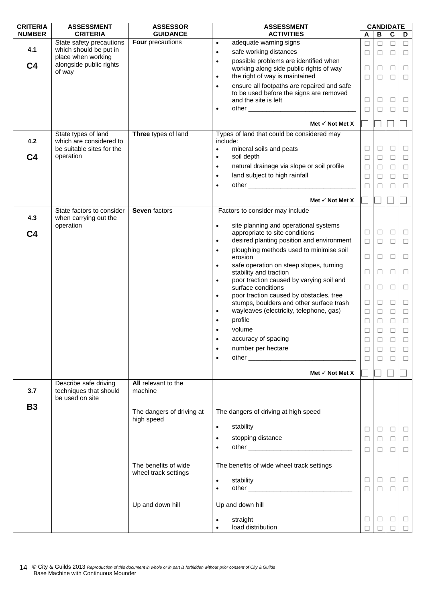| <b>CRITERIA</b> | <b>ASSESSMENT</b>                                  | <b>ASSESSOR</b>                         | <b>ASSESSMENT</b>                                                  | <b>CANDIDATE</b> |              |              |        |
|-----------------|----------------------------------------------------|-----------------------------------------|--------------------------------------------------------------------|------------------|--------------|--------------|--------|
| <b>NUMBER</b>   | <b>CRITERIA</b>                                    | <b>GUIDANCE</b>                         | <b>ACTIVITIES</b>                                                  | A                | $\, {\bf B}$ | $\mathbf{C}$ | D      |
|                 | State safety precautions                           | Four precautions                        | adequate warning signs<br>$\bullet$                                | □                | $\Box$       | $\Box$       | $\Box$ |
| 4.1             | which should be put in<br>place when working       |                                         | safe working distances<br>$\bullet$                                | $\Box$           | $\Box$       | $\Box$       | $\Box$ |
| C <sub>4</sub>  | alongside public rights                            |                                         | possible problems are identified when<br>$\bullet$                 |                  |              |              |        |
|                 | of way                                             |                                         | working along side public rights of way                            | $\Box$           | $\Box$       | $\Box$       | $\Box$ |
|                 |                                                    |                                         | the right of way is maintained<br>$\bullet$                        | $\Box$           | □            | $\Box$       | $\Box$ |
|                 |                                                    |                                         | ensure all footpaths are repaired and safe<br>$\bullet$            |                  |              |              |        |
|                 |                                                    |                                         | to be used before the signs are removed                            |                  |              |              |        |
|                 |                                                    |                                         | and the site is left                                               | $\Box$           | $\Box$       | $\Box$       | $\Box$ |
|                 |                                                    |                                         | $\bullet$                                                          | $\Box$           | П            | $\Box$       | □      |
|                 |                                                    |                                         | Met $\checkmark$ Not Met X                                         |                  |              |              |        |
|                 | State types of land                                | Three types of land                     | Types of land that could be considered may                         |                  |              |              |        |
| 4.2             | which are considered to                            |                                         | include:                                                           |                  |              |              |        |
|                 | be suitable sites for the                          |                                         | mineral soils and peats<br>$\bullet$                               | $\Box$           | $\Box$       | $\Box$       | $\Box$ |
| C <sub>4</sub>  | operation                                          |                                         | soil depth<br>$\bullet$                                            | $\Box$           | $\Box$       | $\Box$       | $\Box$ |
|                 |                                                    |                                         | natural drainage via slope or soil profile<br>$\bullet$            | $\Box$           | $\Box$       | $\Box$       | $\Box$ |
|                 |                                                    |                                         | land subject to high rainfall<br>$\bullet$                         | $\Box$           | □            | $\Box$       | □      |
|                 |                                                    |                                         |                                                                    | $\Box$           | □            | $\Box$       | $\Box$ |
|                 |                                                    |                                         |                                                                    |                  |              |              |        |
|                 |                                                    |                                         | Met $\checkmark$ Not Met X                                         |                  |              |              |        |
| 4.3             | State factors to consider<br>when carrying out the | Seven factors                           | Factors to consider may include                                    |                  |              |              |        |
|                 | operation                                          |                                         | site planning and operational systems<br>$\bullet$                 |                  |              |              |        |
| C <sub>4</sub>  |                                                    |                                         | appropriate to site conditions                                     | Ц                | $\Box$       | $\Box$       | $\Box$ |
|                 |                                                    |                                         | desired planting position and environment<br>$\bullet$             | $\Box$           | $\Box$       | $\Box$       | $\Box$ |
|                 |                                                    |                                         | ploughing methods used to minimise soil<br>$\bullet$               |                  |              |              |        |
|                 |                                                    |                                         | erosion                                                            | $\Box$           | $\Box$       | $\Box$       | $\Box$ |
|                 |                                                    |                                         | safe operation on steep slopes, turning<br>$\bullet$               | $\Box$           |              | $\Box$       | $\Box$ |
|                 |                                                    |                                         | stability and traction<br>poor traction caused by varying soil and |                  | □            |              |        |
|                 |                                                    |                                         | $\bullet$<br>surface conditions                                    | $\Box$           | $\Box$       | $\Box$       | $\Box$ |
|                 |                                                    |                                         | poor traction caused by obstacles, tree<br>$\bullet$               |                  |              |              |        |
|                 |                                                    |                                         | stumps, boulders and other surface trash                           | $\Box$           | □            | $\Box$       | □      |
|                 |                                                    |                                         | wayleaves (electricity, telephone, gas)<br>$\bullet$               | $\Box$           | $\Box$       | $\Box$       | ⊔      |
|                 |                                                    |                                         | profile                                                            | $\Box$           | $\Box$       | $\Box$       | $\Box$ |
|                 |                                                    |                                         | volume                                                             | $\Box$           | $\Box$       | $\Box$       | $\Box$ |
|                 |                                                    |                                         | accuracy of spacing                                                |                  |              |              |        |
|                 |                                                    |                                         |                                                                    | $\Box$           | П            | П            | $\Box$ |
|                 |                                                    |                                         | number per hectare                                                 | $\Box$           | □            | □            | ⊔      |
|                 |                                                    |                                         | $\bullet$                                                          | $\Box$           | ⊔            | □            | ⊔      |
|                 |                                                    |                                         | Met $\checkmark$ Not Met X                                         |                  |              |              |        |
|                 | Describe safe driving                              | All relevant to the                     |                                                                    |                  |              |              |        |
| 3.7             | techniques that should<br>be used on site          | machine                                 |                                                                    |                  |              |              |        |
| <b>B3</b>       |                                                    |                                         |                                                                    |                  |              |              |        |
|                 |                                                    | The dangers of driving at<br>high speed | The dangers of driving at high speed                               |                  |              |              |        |
|                 |                                                    |                                         | stability<br>$\bullet$                                             | □                | $\Box$       | $\Box$       | $\Box$ |
|                 |                                                    |                                         | stopping distance<br>$\bullet$                                     | $\Box$           | $\Box$       | $\Box$       | $\Box$ |
|                 |                                                    |                                         | $\bullet$                                                          |                  |              |              |        |
|                 |                                                    |                                         |                                                                    | $\Box$           | $\Box$       | $\Box$       | $\Box$ |
|                 |                                                    | The benefits of wide                    | The benefits of wide wheel track settings                          |                  |              |              |        |
|                 |                                                    | wheel track settings                    |                                                                    |                  |              |              |        |
|                 |                                                    |                                         | stability                                                          | $\Box$           | $\Box$       | $\Box$       | $\Box$ |
|                 |                                                    |                                         |                                                                    | $\Box$           | $\Box$       | $\Box$       | $\Box$ |
|                 |                                                    |                                         |                                                                    |                  |              |              |        |
|                 |                                                    | Up and down hill                        | Up and down hill                                                   |                  |              |              |        |
|                 |                                                    |                                         | straight                                                           | $\Box$           | ⊔            | Ц            | $\Box$ |
|                 |                                                    |                                         | load distribution                                                  |                  |              |              |        |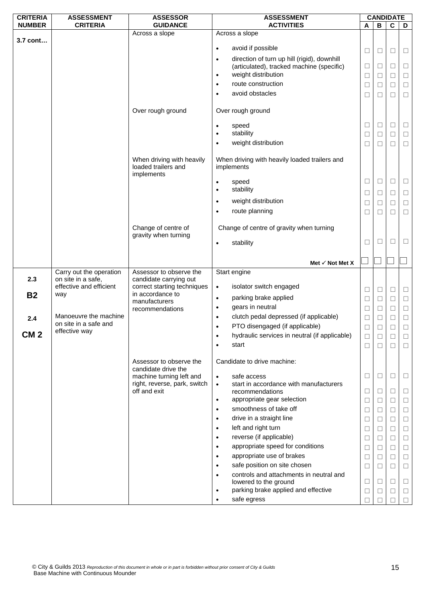| <b>CRITERIA</b> | <b>ASSESSMENT</b>                      | <b>ASSESSOR</b>                                 | <b>ASSESSMENT</b>                                                             | <b>CANDIDATE</b> |                   |                |        |
|-----------------|----------------------------------------|-------------------------------------------------|-------------------------------------------------------------------------------|------------------|-------------------|----------------|--------|
| <b>NUMBER</b>   | <b>CRITERIA</b>                        | <b>GUIDANCE</b>                                 | <b>ACTIVITIES</b>                                                             | Α                | B                 | $\overline{c}$ | D      |
| 3.7 cont        |                                        | Across a slope                                  | Across a slope                                                                |                  |                   |                |        |
|                 |                                        |                                                 | avoid if possible<br>$\bullet$                                                | ⊔                | ⊔                 | Ц              | $\Box$ |
|                 |                                        |                                                 | direction of turn up hill (rigid), downhill<br>$\bullet$                      |                  |                   |                |        |
|                 |                                        |                                                 | (articulated), tracked machine (specific)                                     | $\Box$           | □                 | $\Box$         | $\Box$ |
|                 |                                        |                                                 | weight distribution<br>$\bullet$                                              | $\Box$           | □                 | $\Box$         | $\Box$ |
|                 |                                        |                                                 | route construction<br>$\bullet$                                               | □                | ⊔                 | $\Box$         | $\Box$ |
|                 |                                        |                                                 | avoid obstacles<br>$\bullet$                                                  | $\Box$           | $\vert \ \ \vert$ | $\Box$         | $\Box$ |
|                 |                                        |                                                 |                                                                               |                  |                   |                |        |
|                 |                                        | Over rough ground                               | Over rough ground                                                             |                  |                   |                |        |
|                 |                                        |                                                 | speed<br>$\bullet$                                                            | $\Box$           | ⊔                 | $\Box$         | $\Box$ |
|                 |                                        |                                                 | stability<br>$\bullet$                                                        | $\Box$           | ⊔                 | $\Box$         | $\Box$ |
|                 |                                        |                                                 | weight distribution<br>$\bullet$                                              | □                | □                 | $\Box$         | $\Box$ |
|                 |                                        |                                                 |                                                                               |                  |                   |                |        |
|                 |                                        | When driving with heavily                       | When driving with heavily loaded trailers and                                 |                  |                   |                |        |
|                 |                                        | loaded trailers and<br>implements               | implements                                                                    |                  |                   |                |        |
|                 |                                        |                                                 | speed<br>$\bullet$                                                            | $\Box$           | ⊔                 | $\Box$         | $\Box$ |
|                 |                                        |                                                 | stability<br>$\bullet$                                                        | $\Box$           | □                 | $\Box$         | $\Box$ |
|                 |                                        |                                                 | weight distribution<br>$\bullet$                                              | □                | $\perp$           | $\Box$         | $\Box$ |
|                 |                                        |                                                 | route planning<br>$\bullet$                                                   | □                | □                 | $\Box$         | $\Box$ |
|                 |                                        |                                                 |                                                                               |                  |                   |                |        |
|                 |                                        | Change of centre of                             | Change of centre of gravity when turning                                      |                  |                   |                |        |
|                 |                                        | gravity when turning                            | stability                                                                     | $\Box$           | $\vert \ \ \vert$ | □              | $\Box$ |
|                 |                                        |                                                 |                                                                               |                  |                   |                |        |
|                 |                                        |                                                 | Met $\checkmark$ Not Met X                                                    |                  |                   |                |        |
|                 | Carry out the operation                | Assessor to observe the                         | Start engine                                                                  |                  |                   |                |        |
| 2.3             | on site in a safe,                     | candidate carrying out                          |                                                                               |                  |                   |                |        |
|                 | effective and efficient                | correct starting techniques<br>in accordance to | isolator switch engaged<br>$\bullet$                                          | $\Box$           | □                 | $\Box$         | $\Box$ |
| <b>B2</b>       | way                                    | manufacturers                                   | parking brake applied<br>$\bullet$                                            | $\Box$           | $\Box$            | $\Box$         | $\Box$ |
|                 |                                        | recommendations                                 | gears in neutral<br>$\bullet$                                                 | □                | ⊔                 | $\Box$         | $\Box$ |
| 2.4             | Manoeuvre the machine                  |                                                 | clutch pedal depressed (if applicable)<br>$\bullet$                           | $\Box$           | □                 | $\Box$         | $\Box$ |
|                 | on site in a safe and<br>effective way |                                                 | PTO disengaged (if applicable)<br>$\bullet$                                   | $\Box$           |                   | $\Box$         | $\Box$ |
| CM <sub>2</sub> |                                        |                                                 | hydraulic services in neutral (if applicable)                                 | $\Box$           | □                 | $\Box$         | $\Box$ |
|                 |                                        |                                                 | start<br>$\bullet$                                                            | $\Box$           | $\Box$            | $\Box$         | $\Box$ |
|                 |                                        | Assessor to observe the                         | Candidate to drive machine:                                                   |                  |                   |                |        |
|                 |                                        | candidate drive the<br>machine turning left and | safe access<br>$\bullet$                                                      | $\Box$           | ⊔                 | $\Box$         | $\Box$ |
|                 |                                        | right, reverse, park, switch                    | start in accordance with manufacturers<br>$\bullet$                           |                  |                   |                |        |
|                 |                                        | off and exit                                    | recommendations                                                               | $\Box$           | ⊔                 | $\Box$         | □      |
|                 |                                        |                                                 | appropriate gear selection<br>$\bullet$                                       | □                | ⊔                 | $\Box$         | $\Box$ |
|                 |                                        |                                                 | smoothness of take off<br>$\bullet$                                           | $\Box$           | $\Box$            | $\Box$         | $\Box$ |
|                 |                                        |                                                 | drive in a straight line<br>$\bullet$                                         | $\Box$           | ⊔                 | $\Box$         | $\Box$ |
|                 |                                        |                                                 | left and right turn<br>$\bullet$                                              | $\Box$           | □                 | $\Box$         | $\Box$ |
|                 |                                        |                                                 | reverse (if applicable)<br>$\bullet$                                          | $\Box$           | ⊔                 | $\Box$         | $\Box$ |
|                 |                                        |                                                 | appropriate speed for conditions<br>$\bullet$                                 | ⊔                | ⊔                 | $\Box$         | $\Box$ |
|                 |                                        |                                                 | appropriate use of brakes<br>$\bullet$                                        | $\Box$           | $\Box$            | $\Box$         | $\Box$ |
|                 |                                        |                                                 | safe position on site chosen<br>$\bullet$                                     | $\Box$           | □                 | □              | $\Box$ |
|                 |                                        |                                                 | controls and attachments in neutral and<br>$\bullet$<br>lowered to the ground | $\Box$           | $\perp$           | $\Box$         | □      |
|                 |                                        |                                                 | parking brake applied and effective<br>$\bullet$                              | $\Box$           | П                 | $\Box$         | $\Box$ |
|                 |                                        |                                                 | safe egress                                                                   | П                |                   | П              | $\Box$ |
|                 |                                        |                                                 |                                                                               |                  |                   |                |        |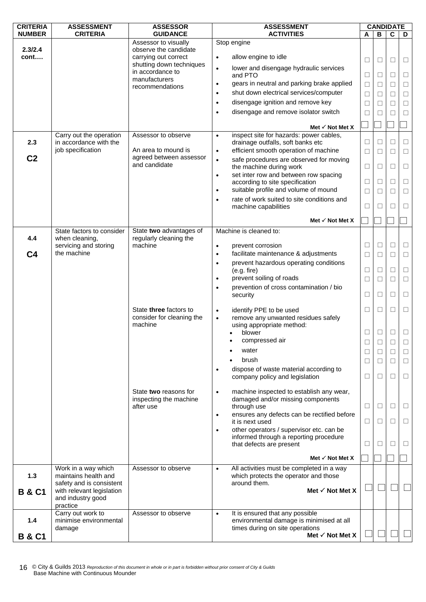| <b>CRITERIA</b>   | <b>ASSESSMENT</b>                                 | <b>ASSESSOR</b>                               | <b>ASSESSMENT</b>                                                                               |        | <b>CANDIDATE</b>  |             |        |
|-------------------|---------------------------------------------------|-----------------------------------------------|-------------------------------------------------------------------------------------------------|--------|-------------------|-------------|--------|
| <b>NUMBER</b>     | <b>CRITERIA</b>                                   | <b>GUIDANCE</b>                               | <b>ACTIVITIES</b>                                                                               | A      | в                 | $\mathbf c$ | D      |
|                   |                                                   | Assessor to visually                          | Stop engine                                                                                     |        |                   |             |        |
| 2.3/2.4<br>cont   |                                                   | observe the candidate<br>carrying out correct | allow engine to idle<br>$\bullet$                                                               | $\Box$ | □                 | $\Box$      | $\Box$ |
|                   |                                                   | shutting down techniques<br>in accordance to  | lower and disengage hydraulic services<br>$\bullet$<br>and PTO                                  | $\Box$ | ⊔                 | $\Box$      | $\Box$ |
|                   |                                                   | manufacturers                                 | gears in neutral and parking brake applied<br>$\bullet$                                         | $\Box$ | $\vert \ \ \vert$ | $\Box$      | $\Box$ |
|                   |                                                   | recommendations                               | shut down electrical services/computer<br>$\bullet$                                             | $\Box$ | □                 | $\Box$      | $\Box$ |
|                   |                                                   |                                               | disengage ignition and remove key<br>$\bullet$                                                  | $\Box$ | $\Box$            | П           | $\Box$ |
|                   |                                                   |                                               | disengage and remove isolator switch<br>$\bullet$                                               | $\Box$ |                   | П           | $\Box$ |
|                   |                                                   |                                               |                                                                                                 |        |                   |             |        |
|                   |                                                   |                                               | Met $\checkmark$ Not Met X                                                                      |        |                   |             |        |
| 2.3               | Carry out the operation<br>in accordance with the | Assessor to observe                           | inspect site for hazards: power cables,<br>$\bullet$<br>drainage outfalls, soft banks etc       | □      | $\perp$           | Ш           | □      |
|                   | job specification                                 | An area to mound is                           | efficient smooth operation of machine<br>$\bullet$                                              | $\Box$ | П                 | П           | $\Box$ |
| C <sub>2</sub>    |                                                   | agreed between assessor                       | safe procedures are observed for moving<br>$\bullet$                                            |        |                   |             |        |
|                   |                                                   | and candidate                                 | the machine during work                                                                         | $\Box$ | □                 | $\Box$      | $\Box$ |
|                   |                                                   |                                               | set inter row and between row spacing<br>$\bullet$                                              |        |                   |             |        |
|                   |                                                   |                                               | according to site specification                                                                 | $\Box$ | □                 | $\Box$      | $\Box$ |
|                   |                                                   |                                               | suitable profile and volume of mound<br>$\bullet$                                               | $\Box$ | $\vert \ \ \vert$ | П           | $\Box$ |
|                   |                                                   |                                               | rate of work suited to site conditions and<br>$\bullet$<br>machine capabilities                 | □      | $\vert \ \ \vert$ | П           | $\Box$ |
|                   |                                                   |                                               |                                                                                                 |        |                   |             |        |
|                   |                                                   |                                               | Met $\checkmark$ Not Met X                                                                      |        |                   |             |        |
|                   | State factors to consider                         | State two advantages of                       | Machine is cleaned to:                                                                          |        |                   |             |        |
| 4.4               | when cleaning,<br>servicing and storing           | regularly cleaning the<br>machine             | prevent corrosion<br>$\bullet$                                                                  | Ц      | ⊔                 | ⊔           | $\Box$ |
| C <sub>4</sub>    | the machine                                       |                                               | facilitate maintenance & adjustments<br>$\bullet$                                               | $\Box$ | □                 | $\Box$      | $\Box$ |
|                   |                                                   |                                               | prevent hazardous operating conditions<br>$\bullet$                                             |        |                   |             |        |
|                   |                                                   |                                               | (e.g. fire)                                                                                     | $\Box$ | ⊔                 | $\Box$      | $\Box$ |
|                   |                                                   |                                               | prevent soiling of roads<br>$\bullet$                                                           | □      | $\Box$            | П           | $\Box$ |
|                   |                                                   |                                               | prevention of cross contamination / bio                                                         |        |                   |             |        |
|                   |                                                   |                                               | security                                                                                        | □      | $\vert \ \ \vert$ | □           | $\Box$ |
|                   |                                                   | State three factors to                        | identify PPE to be used<br>$\bullet$                                                            | ⊔      | ⊔                 | Ш           | $\Box$ |
|                   |                                                   | consider for cleaning the                     | remove any unwanted residues safely<br>$\bullet$                                                |        |                   |             |        |
|                   |                                                   | machine                                       | using appropriate method:                                                                       |        |                   |             |        |
|                   |                                                   |                                               | blower<br>compressed air                                                                        | $\Box$ | ⊔                 | $\Box$      | $\Box$ |
|                   |                                                   |                                               |                                                                                                 | $\Box$ | $\Box$            | $\Box$      | $\Box$ |
|                   |                                                   |                                               | water<br>brush                                                                                  | $\Box$ | □                 | $\Box$      | □      |
|                   |                                                   |                                               | dispose of waste material according to                                                          | ⊔      | $\perp$           | Ш           | □      |
|                   |                                                   |                                               | company policy and legislation                                                                  | □      | ⊔                 | $\Box$      | □      |
|                   |                                                   |                                               |                                                                                                 |        |                   |             |        |
|                   |                                                   | State two reasons for                         | machine inspected to establish any wear,<br>$\bullet$                                           |        |                   |             |        |
|                   |                                                   | inspecting the machine<br>after use           | damaged and/or missing components<br>through use                                                | ⊔      | ⊔                 | Ш           | ⊔      |
|                   |                                                   |                                               | ensures any defects can be rectified before<br>$\bullet$                                        |        |                   |             |        |
|                   |                                                   |                                               | it is next used                                                                                 | $\Box$ | □                 | □           | □      |
|                   |                                                   |                                               | other operators / supervisor etc. can be<br>$\bullet$                                           |        |                   |             |        |
|                   |                                                   |                                               | informed through a reporting procedure<br>that defects are present                              | □      | $\perp$           | $\Box$      | ⊔      |
|                   |                                                   |                                               |                                                                                                 |        |                   |             |        |
|                   |                                                   |                                               | Met $\checkmark$ Not Met X                                                                      |        |                   |             |        |
| $1.3$             | Work in a way which<br>maintains health and       | Assessor to observe                           | All activities must be completed in a way<br>$\bullet$<br>which protects the operator and those |        |                   |             |        |
|                   | safety and is consistent                          |                                               | around them.                                                                                    |        |                   |             |        |
| <b>B &amp; C1</b> | with relevant legislation                         |                                               | Met $\checkmark$ Not Met X                                                                      |        |                   |             |        |
|                   | and industry good                                 |                                               |                                                                                                 |        |                   |             |        |
|                   | practice<br>Carry out work to                     | Assessor to observe                           | It is ensured that any possible<br>$\bullet$                                                    |        |                   |             |        |
| 1.4               | minimise environmental                            |                                               | environmental damage is minimised at all                                                        |        |                   |             |        |
|                   | damage                                            |                                               | times during on site operations                                                                 |        |                   |             |        |
| <b>B &amp; C1</b> |                                                   |                                               | Met $\checkmark$ Not Met X                                                                      |        |                   |             |        |